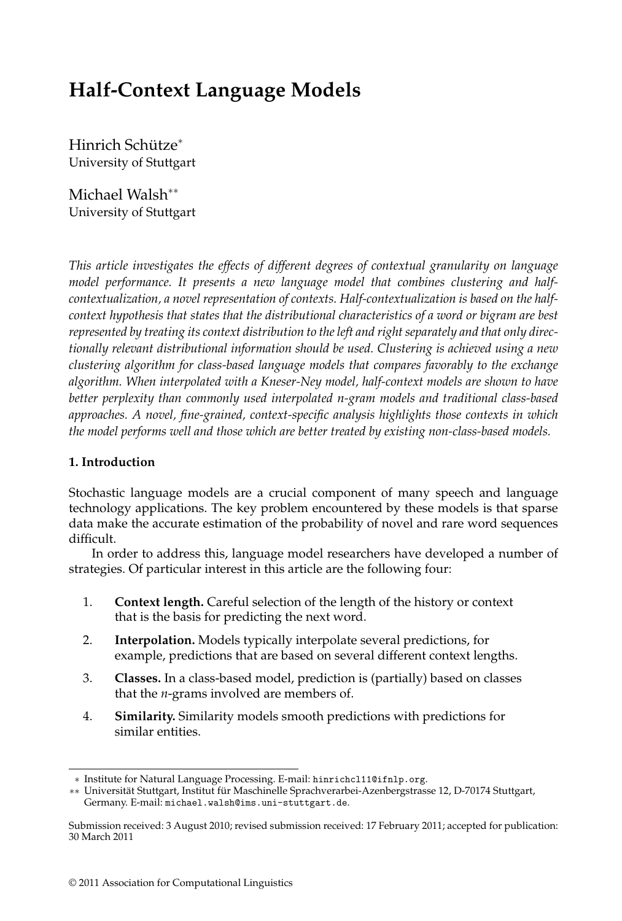# **Half-Context Language Models**

Hinrich Schütze<sup>\*</sup> University of Stuttgart

Michael Walsh∗∗ University of Stuttgart

*This article investigates the effects of different degrees of contextual granularity on language model performance. It presents a new language model that combines clustering and halfcontextualization, a novel representation of contexts. Half-contextualization is based on the halfcontext hypothesis that states that the distributional characteristics of a word or bigram are best represented by treating its context distribution to the left and right separately and that only directionally relevant distributional information should be used. Clustering is achieved using a new clustering algorithm for class-based language models that compares favorably to the exchange algorithm. When interpolated with a Kneser-Ney model, half-context models are shown to have better perplexity than commonly used interpolated n-gram models and traditional class-based approaches. A novel, fine-grained, context-specific analysis highlights those contexts in which the model performs well and those which are better treated by existing non-class-based models.*

# **1. Introduction**

Stochastic language models are a crucial component of many speech and language technology applications. The key problem encountered by these models is that sparse data make the accurate estimation of the probability of novel and rare word sequences difficult.

In order to address this, language model researchers have developed a number of strategies. Of particular interest in this article are the following four:

- 1. **Context length.** Careful selection of the length of the history or context that is the basis for predicting the next word.
- 2. **Interpolation.** Models typically interpolate several predictions, for example, predictions that are based on several different context lengths.
- 3. **Classes.** In a class-based model, prediction is (partially) based on classes that the *n*-grams involved are members of.
- 4. **Similarity.** Similarity models smooth predictions with predictions for similar entities.

<sup>∗</sup> Institute for Natural Language Processing. E-mail: hinrichcl11@ifnlp.org.

<sup>∗∗</sup> Universität Stuttgart, Institut für Maschinelle Sprachverarbei-Azenbergstrasse 12, D-70174 Stuttgart, Germany. E-mail: michael.walsh@ims.uni-stuttgart.de.

Submission received: 3 August 2010; revised submission received: 17 February 2011; accepted for publication: 30 March 2011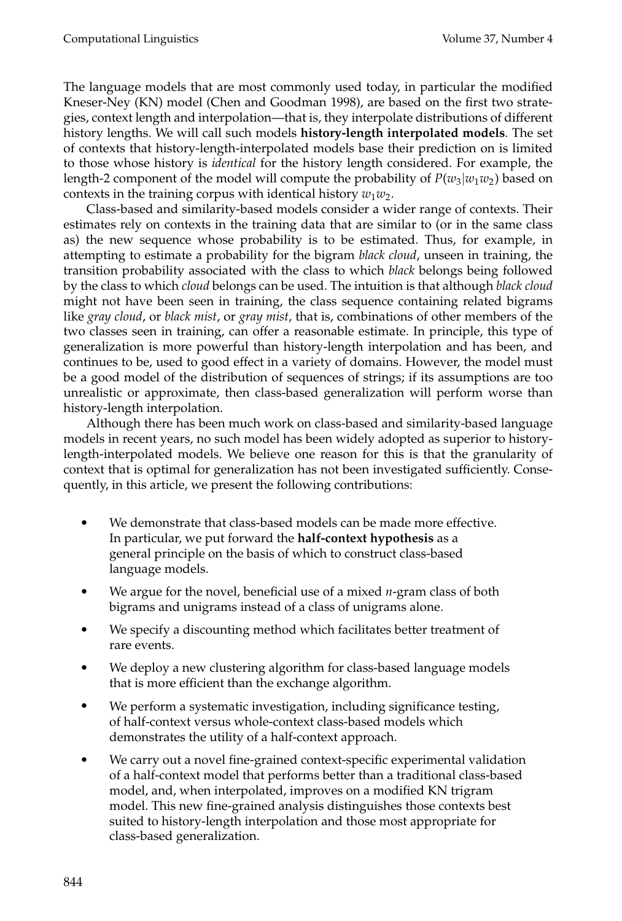The language models that are most commonly used today, in particular the modified Kneser-Ney (KN) model (Chen and Goodman 1998), are based on the first two strategies, context length and interpolation—that is, they interpolate distributions of different history lengths. We will call such models **history-length interpolated models**. The set of contexts that history-length-interpolated models base their prediction on is limited to those whose history is *identical* for the history length considered. For example, the length-2 component of the model will compute the probability of  $P(w_3|w_1w_2)$  based on contexts in the training corpus with identical history  $w_1w_2$ .

Class-based and similarity-based models consider a wider range of contexts. Their estimates rely on contexts in the training data that are similar to (or in the same class as) the new sequence whose probability is to be estimated. Thus, for example, in attempting to estimate a probability for the bigram *black cloud*, unseen in training, the transition probability associated with the class to which *black* belongs being followed by the class to which *cloud* belongs can be used. The intuition is that although *black cloud* might not have been seen in training, the class sequence containing related bigrams like *gray cloud*, or *black mist*, or *gray mist*, that is, combinations of other members of the two classes seen in training, can offer a reasonable estimate. In principle, this type of generalization is more powerful than history-length interpolation and has been, and continues to be, used to good effect in a variety of domains. However, the model must be a good model of the distribution of sequences of strings; if its assumptions are too unrealistic or approximate, then class-based generalization will perform worse than history-length interpolation.

Although there has been much work on class-based and similarity-based language models in recent years, no such model has been widely adopted as superior to historylength-interpolated models. We believe one reason for this is that the granularity of context that is optimal for generalization has not been investigated sufficiently. Consequently, in this article, we present the following contributions:

- $\bullet$  We demonstrate that class-based models can be made more effective. In particular, we put forward the **half-context hypothesis** as a general principle on the basis of which to construct class-based language models.
- - We argue for the novel, beneficial use of a mixed *n*-gram class of both bigrams and unigrams instead of a class of unigrams alone.
- - We specify a discounting method which facilitates better treatment of rare events.
- - We deploy a new clustering algorithm for class-based language models that is more efficient than the exchange algorithm.
- - We perform a systematic investigation, including significance testing, of half-context versus whole-context class-based models which demonstrates the utility of a half-context approach.
- - We carry out a novel fine-grained context-specific experimental validation of a half-context model that performs better than a traditional class-based model, and, when interpolated, improves on a modified KN trigram model. This new fine-grained analysis distinguishes those contexts best suited to history-length interpolation and those most appropriate for class-based generalization.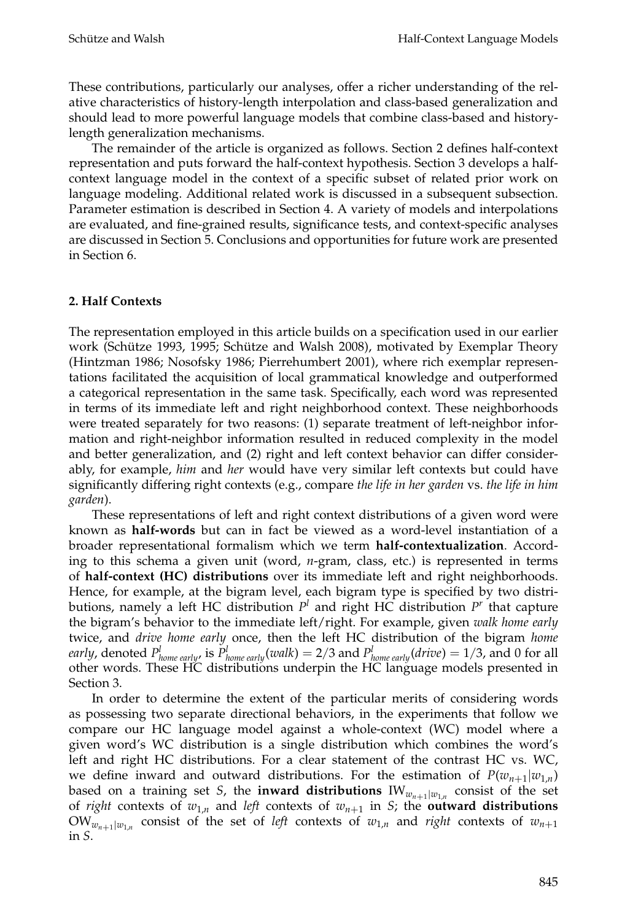These contributions, particularly our analyses, offer a richer understanding of the relative characteristics of history-length interpolation and class-based generalization and should lead to more powerful language models that combine class-based and historylength generalization mechanisms.

The remainder of the article is organized as follows. Section 2 defines half-context representation and puts forward the half-context hypothesis. Section 3 develops a halfcontext language model in the context of a specific subset of related prior work on language modeling. Additional related work is discussed in a subsequent subsection. Parameter estimation is described in Section 4. A variety of models and interpolations are evaluated, and fine-grained results, significance tests, and context-specific analyses are discussed in Section 5. Conclusions and opportunities for future work are presented in Section 6.

# **2. Half Contexts**

The representation employed in this article builds on a specification used in our earlier work (Schütze 1993, 1995; Schütze and Walsh 2008), motivated by Exemplar Theory (Hintzman 1986; Nosofsky 1986; Pierrehumbert 2001), where rich exemplar representations facilitated the acquisition of local grammatical knowledge and outperformed a categorical representation in the same task. Specifically, each word was represented in terms of its immediate left and right neighborhood context. These neighborhoods were treated separately for two reasons: (1) separate treatment of left-neighbor information and right-neighbor information resulted in reduced complexity in the model and better generalization, and (2) right and left context behavior can differ considerably, for example, *him* and *her* would have very similar left contexts but could have significantly differing right contexts (e.g., compare *the life in her garden* vs. *the life in him garden*).

These representations of left and right context distributions of a given word were known as **half-words** but can in fact be viewed as a word-level instantiation of a broader representational formalism which we term **half-contextualization**. According to this schema a given unit (word, *n*-gram, class, etc.) is represented in terms of **half-context (HC) distributions** over its immediate left and right neighborhoods. Hence, for example, at the bigram level, each bigram type is specified by two distributions, namely a left HC distribution  $P^l$  and right HC distribution  $P^r$  that capture the bigram's behavior to the immediate left/right. For example, given *walk home early* twice, and *drive home early* once, then the left HC distribution of the bigram *home early, denoted*  $P^l_{home\ early}$ *, is*  $P^l_{home\ early}(walk) = 2/3$  *and*  $P^l_{home\ early}(drive) = 1/3$ *, and 0 for all* other words. These HC distributions underpin the HC language models presented in Section 3.

In order to determine the extent of the particular merits of considering words as possessing two separate directional behaviors, in the experiments that follow we compare our HC language model against a whole-context (WC) model where a given word's WC distribution is a single distribution which combines the word's left and right HC distributions. For a clear statement of the contrast HC vs. WC, we define inward and outward distributions. For the estimation of  $P(w_{n+1}|w_{1,n})$ based on a training set *S*, the **inward distributions**  $IW_{w_{n+1}|w_{1,n}}$  consist of the set of *right* contexts of  $w_{1,n}$  and *left* contexts of  $w_{n+1}$  in *S*; the **outward distributions**  $OW_{w_{n+1}|w_1}$  consist of the set of *left* contexts of  $w_{1,n}$  and *right* contexts of  $w_{n+1}$ in *S*.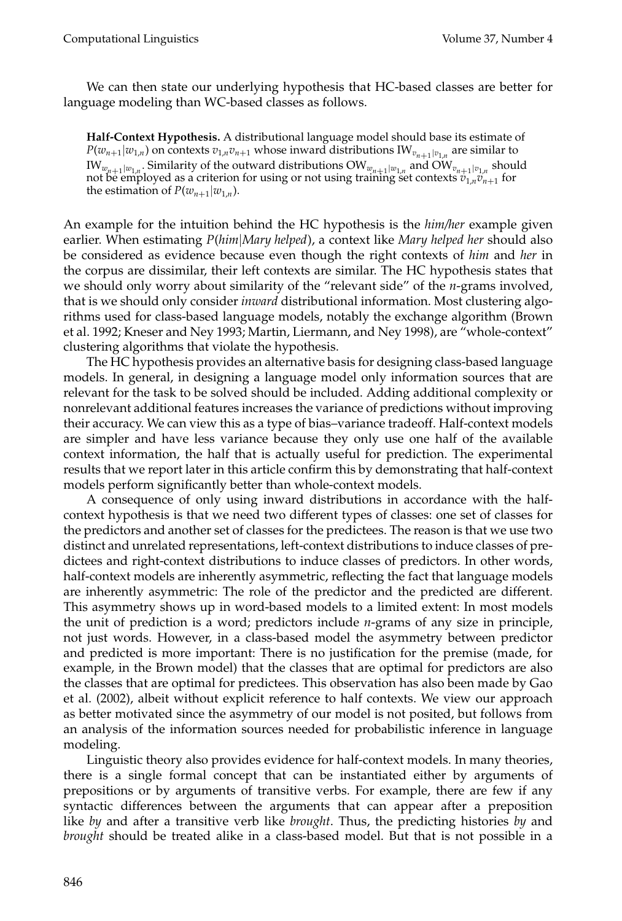We can then state our underlying hypothesis that HC-based classes are better for language modeling than WC-based classes as follows.

**Half-Context Hypothesis.** A distributional language model should base its estimate of  $P(w_{n+1}|w_{1,n})$  on contexts  $v_{1,n}v_{n+1}$  whose inward distributions IW<sub> $v_{n+1}|v_{1,n}$  are similar to</sub>  $IW_{w_{n+1}|w_{1,n}}$ . Similarity of the outward distributions  $OW_{w_{n+1}|w_{1,n}}$  and  $OW_{v_{n+1}|v_{1,n}}$  should not be employed as a criterion for using or not using training set contexts  $v_{1,n}v_{n+1}$  for the estimation of  $P(w_{n+1}|w_{1,n})$ .

An example for the intuition behind the HC hypothesis is the *him/her* example given earlier. When estimating *P*(*him*|*Mary helped*), a context like *Mary helped her* should also be considered as evidence because even though the right contexts of *him* and *her* in the corpus are dissimilar, their left contexts are similar. The HC hypothesis states that we should only worry about similarity of the "relevant side" of the *n*-grams involved, that is we should only consider *inward* distributional information. Most clustering algorithms used for class-based language models, notably the exchange algorithm (Brown et al. 1992; Kneser and Ney 1993; Martin, Liermann, and Ney 1998), are "whole-context" clustering algorithms that violate the hypothesis.

The HC hypothesis provides an alternative basis for designing class-based language models. In general, in designing a language model only information sources that are relevant for the task to be solved should be included. Adding additional complexity or nonrelevant additional features increases the variance of predictions without improving their accuracy. We can view this as a type of bias–variance tradeoff. Half-context models are simpler and have less variance because they only use one half of the available context information, the half that is actually useful for prediction. The experimental results that we report later in this article confirm this by demonstrating that half-context models perform significantly better than whole-context models.

A consequence of only using inward distributions in accordance with the halfcontext hypothesis is that we need two different types of classes: one set of classes for the predictors and another set of classes for the predictees. The reason is that we use two distinct and unrelated representations, left-context distributions to induce classes of predictees and right-context distributions to induce classes of predictors. In other words, half-context models are inherently asymmetric, reflecting the fact that language models are inherently asymmetric: The role of the predictor and the predicted are different. This asymmetry shows up in word-based models to a limited extent: In most models the unit of prediction is a word; predictors include *n*-grams of any size in principle, not just words. However, in a class-based model the asymmetry between predictor and predicted is more important: There is no justification for the premise (made, for example, in the Brown model) that the classes that are optimal for predictors are also the classes that are optimal for predictees. This observation has also been made by Gao et al. (2002), albeit without explicit reference to half contexts. We view our approach as better motivated since the asymmetry of our model is not posited, but follows from an analysis of the information sources needed for probabilistic inference in language modeling.

Linguistic theory also provides evidence for half-context models. In many theories, there is a single formal concept that can be instantiated either by arguments of prepositions or by arguments of transitive verbs. For example, there are few if any syntactic differences between the arguments that can appear after a preposition like *by* and after a transitive verb like *brought*. Thus, the predicting histories *by* and *brought* should be treated alike in a class-based model. But that is not possible in a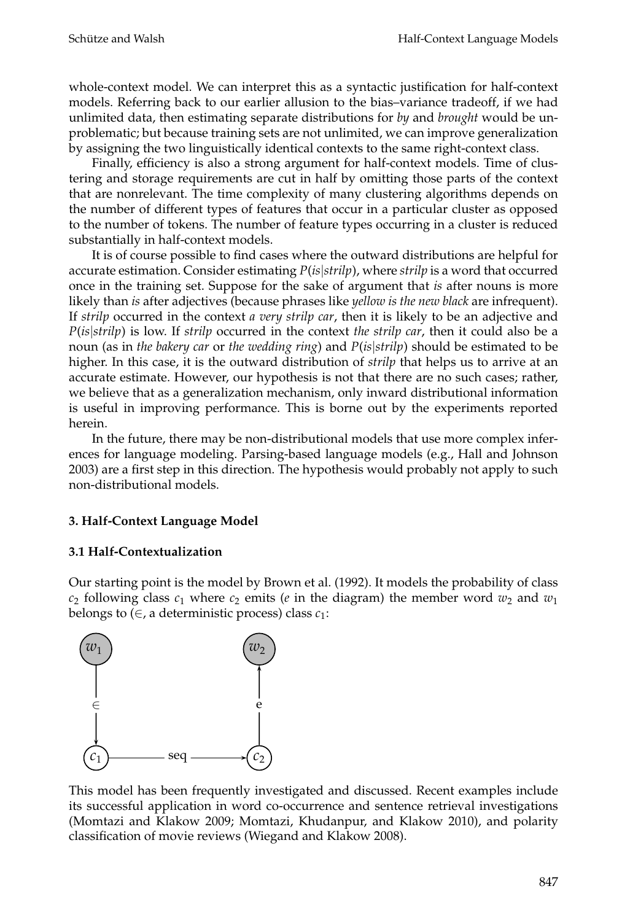whole-context model. We can interpret this as a syntactic justification for half-context models. Referring back to our earlier allusion to the bias–variance tradeoff, if we had unlimited data, then estimating separate distributions for *by* and *brought* would be unproblematic; but because training sets are not unlimited, we can improve generalization by assigning the two linguistically identical contexts to the same right-context class.

Finally, efficiency is also a strong argument for half-context models. Time of clustering and storage requirements are cut in half by omitting those parts of the context that are nonrelevant. The time complexity of many clustering algorithms depends on the number of different types of features that occur in a particular cluster as opposed to the number of tokens. The number of feature types occurring in a cluster is reduced substantially in half-context models.

It is of course possible to find cases where the outward distributions are helpful for accurate estimation. Consider estimating *P*(*is*|*strilp*), where *strilp* is a word that occurred once in the training set. Suppose for the sake of argument that *is* after nouns is more likely than *is* after adjectives (because phrases like *yellow is the new black* are infrequent). If *strilp* occurred in the context *a very strilp car*, then it is likely to be an adjective and *P*(*is*|*strilp*) is low. If *strilp* occurred in the context *the strilp car*, then it could also be a noun (as in *the bakery car* or *the wedding ring*) and *P*(*is*|*strilp*) should be estimated to be higher. In this case, it is the outward distribution of *strilp* that helps us to arrive at an accurate estimate. However, our hypothesis is not that there are no such cases; rather, we believe that as a generalization mechanism, only inward distributional information is useful in improving performance. This is borne out by the experiments reported herein.

In the future, there may be non-distributional models that use more complex inferences for language modeling. Parsing-based language models (e.g., Hall and Johnson 2003) are a first step in this direction. The hypothesis would probably not apply to such non-distributional models.

# **3. Half-Context Language Model**

# **3.1 Half-Contextualization**

Our starting point is the model by Brown et al. (1992). It models the probability of class  $c_2$  following class  $c_1$  where  $c_2$  emits (*e* in the diagram) the member word  $w_2$  and  $w_1$ belongs to  $(\in$ , a deterministic process) class  $c_1$ :



This model has been frequently investigated and discussed. Recent examples include its successful application in word co-occurrence and sentence retrieval investigations (Momtazi and Klakow 2009; Momtazi, Khudanpur, and Klakow 2010), and polarity classification of movie reviews (Wiegand and Klakow 2008).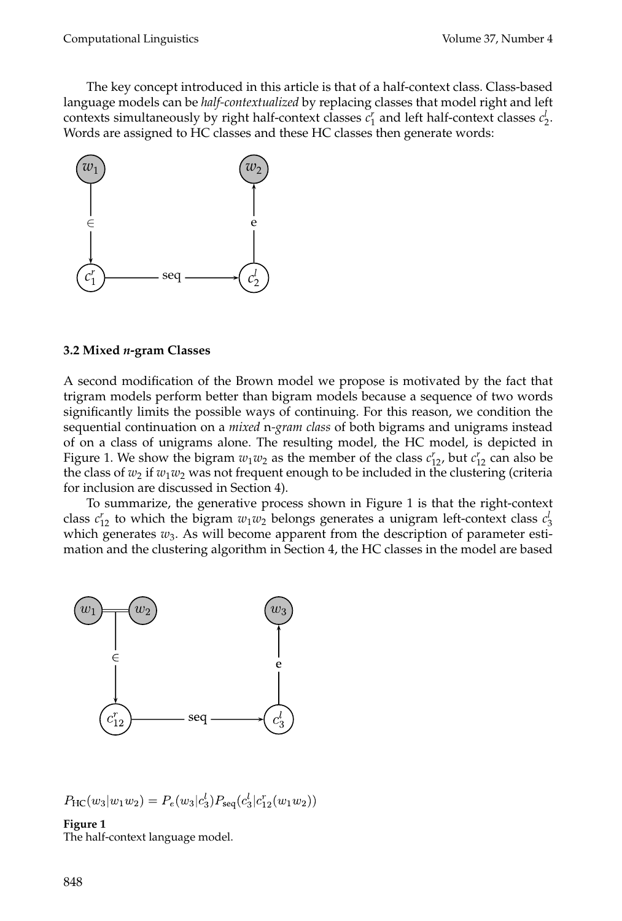The key concept introduced in this article is that of a half-context class. Class-based language models can be *half-contextualized* by replacing classes that model right and left contexts simultaneously by right half-context classes  $c_1^r$  and left half-context classes  $c_2^l$ . Words are assigned to HC classes and these HC classes then generate words:



#### **3.2 Mixed** *n***-gram Classes**

A second modification of the Brown model we propose is motivated by the fact that trigram models perform better than bigram models because a sequence of two words significantly limits the possible ways of continuing. For this reason, we condition the sequential continuation on a *mixed* n*-gram class* of both bigrams and unigrams instead of on a class of unigrams alone. The resulting model, the HC model, is depicted in Figure 1. We show the bigram  $w_1w_2$  as the member of the class  $c_{12}^r$ , but  $c_{12}^r$  can also be the class of  $w_2$  if  $w_1w_2$  was not frequent enough to be included in the clustering (criteria for inclusion are discussed in Section 4).

To summarize, the generative process shown in Figure 1 is that the right-context class  $c_{12}^r$  to which the bigram  $w_1w_2$  belongs generates a unigram left-context class  $c_3^l$ which generates  $w_3$ . As will become apparent from the description of parameter estimation and the clustering algorithm in Section 4, the HC classes in the model are based



 $P_{\rm HC}(w_3|w_1w_2) = P_e(w_3|c_3^l)P_{\rm seq}(c_3^l|c_{12}^r(w_1w_2))$ 

**Figure 1** The half-context language model.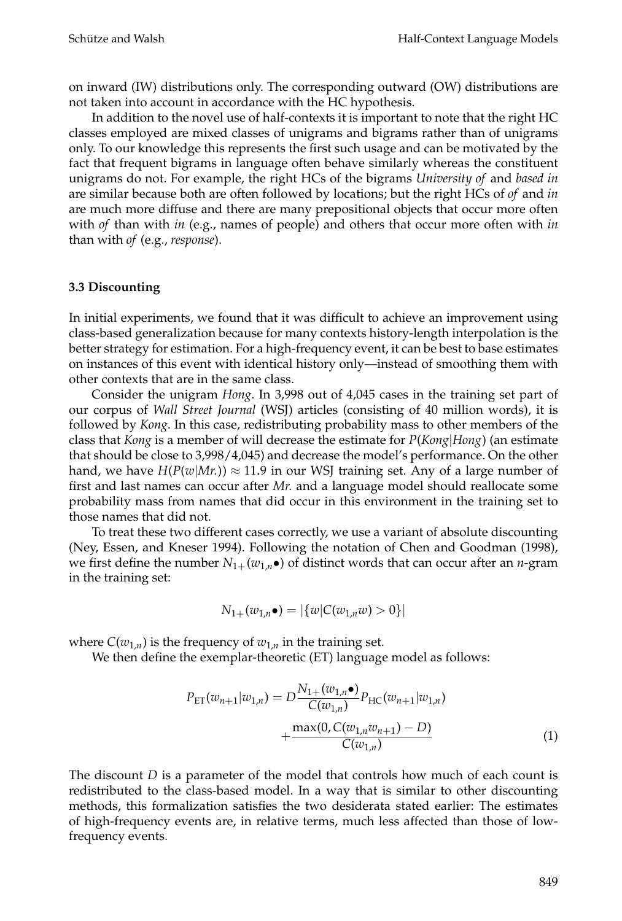on inward (IW) distributions only. The corresponding outward (OW) distributions are not taken into account in accordance with the HC hypothesis.

In addition to the novel use of half-contexts it is important to note that the right HC classes employed are mixed classes of unigrams and bigrams rather than of unigrams only. To our knowledge this represents the first such usage and can be motivated by the fact that frequent bigrams in language often behave similarly whereas the constituent unigrams do not. For example, the right HCs of the bigrams *University of* and *based in* are similar because both are often followed by locations; but the right HCs of *of* and *in* are much more diffuse and there are many prepositional objects that occur more often with *of* than with *in* (e.g., names of people) and others that occur more often with *in* than with *of* (e.g., *response*).

### **3.3 Discounting**

In initial experiments, we found that it was difficult to achieve an improvement using class-based generalization because for many contexts history-length interpolation is the better strategy for estimation. For a high-frequency event, it can be best to base estimates on instances of this event with identical history only—instead of smoothing them with other contexts that are in the same class.

Consider the unigram *Hong*. In 3,998 out of 4,045 cases in the training set part of our corpus of *Wall Street Journal* (WSJ) articles (consisting of 40 million words), it is followed by *Kong*. In this case, redistributing probability mass to other members of the class that *Kong* is a member of will decrease the estimate for *P*(*Kong*|*Hong*) (an estimate that should be close to 3,998/4,045) and decrease the model's performance. On the other hand, we have  $H(P(w|Mr)) \approx 11.9$  in our WSJ training set. Any of a large number of first and last names can occur after *Mr.* and a language model should reallocate some probability mass from names that did occur in this environment in the training set to those names that did not.

To treat these two different cases correctly, we use a variant of absolute discounting (Ney, Essen, and Kneser 1994). Following the notation of Chen and Goodman (1998), we first define the number  $N_{1+}(w_{1,n}\bullet)$  of distinct words that can occur after an *n*-gram in the training set:

$$
N_{1+}(w_{1,n}\bullet) = |\{w|C(w_{1,n}w) > 0\}|
$$

where  $C(w_{1,n})$  is the frequency of  $w_{1,n}$  in the training set.

We then define the exemplar-theoretic (ET) language model as follows:

$$
P_{\text{ET}}(w_{n+1}|w_{1,n}) = D \frac{N_{1+}(w_{1,n} \bullet)}{C(w_{1,n})} P_{\text{HC}}(w_{n+1}|w_{1,n}) + \frac{\max(0, C(w_{1,n}w_{n+1}) - D)}{C(w_{1,n})}
$$
(1)

The discount *D* is a parameter of the model that controls how much of each count is redistributed to the class-based model. In a way that is similar to other discounting methods, this formalization satisfies the two desiderata stated earlier: The estimates of high-frequency events are, in relative terms, much less affected than those of lowfrequency events.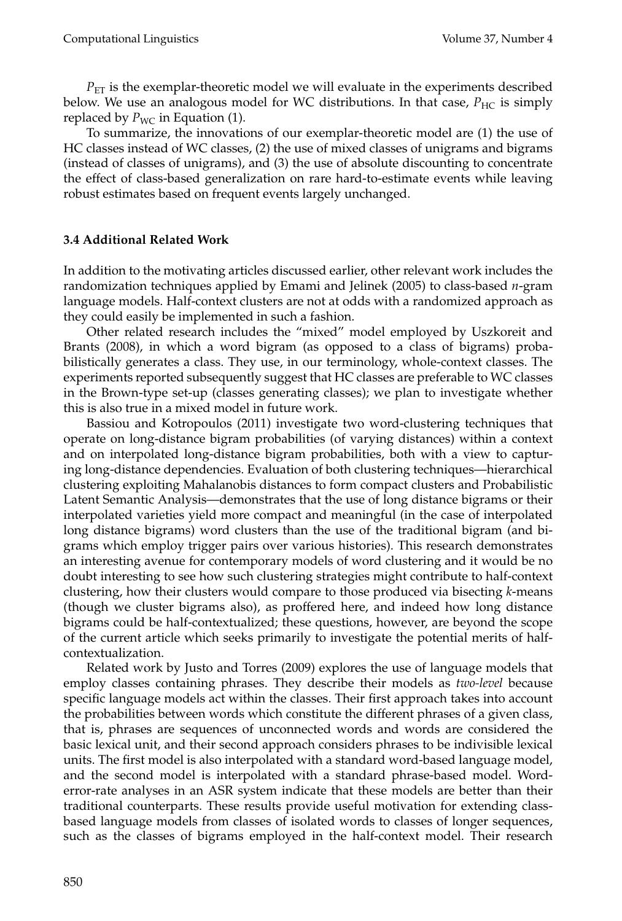$P_{ET}$  is the exemplar-theoretic model we will evaluate in the experiments described below. We use an analogous model for WC distributions. In that case,  $P_{\text{HC}}$  is simply replaced by  $P_{\text{WC}}$  in Equation (1).

To summarize, the innovations of our exemplar-theoretic model are (1) the use of HC classes instead of WC classes, (2) the use of mixed classes of unigrams and bigrams (instead of classes of unigrams), and (3) the use of absolute discounting to concentrate the effect of class-based generalization on rare hard-to-estimate events while leaving robust estimates based on frequent events largely unchanged.

# **3.4 Additional Related Work**

In addition to the motivating articles discussed earlier, other relevant work includes the randomization techniques applied by Emami and Jelinek (2005) to class-based *n*-gram language models. Half-context clusters are not at odds with a randomized approach as they could easily be implemented in such a fashion.

Other related research includes the "mixed" model employed by Uszkoreit and Brants (2008), in which a word bigram (as opposed to a class of bigrams) probabilistically generates a class. They use, in our terminology, whole-context classes. The experiments reported subsequently suggest that HC classes are preferable to WC classes in the Brown-type set-up (classes generating classes); we plan to investigate whether this is also true in a mixed model in future work.

Bassiou and Kotropoulos (2011) investigate two word-clustering techniques that operate on long-distance bigram probabilities (of varying distances) within a context and on interpolated long-distance bigram probabilities, both with a view to capturing long-distance dependencies. Evaluation of both clustering techniques—hierarchical clustering exploiting Mahalanobis distances to form compact clusters and Probabilistic Latent Semantic Analysis—demonstrates that the use of long distance bigrams or their interpolated varieties yield more compact and meaningful (in the case of interpolated long distance bigrams) word clusters than the use of the traditional bigram (and bigrams which employ trigger pairs over various histories). This research demonstrates an interesting avenue for contemporary models of word clustering and it would be no doubt interesting to see how such clustering strategies might contribute to half-context clustering, how their clusters would compare to those produced via bisecting *k*-means (though we cluster bigrams also), as proffered here, and indeed how long distance bigrams could be half-contextualized; these questions, however, are beyond the scope of the current article which seeks primarily to investigate the potential merits of halfcontextualization.

Related work by Justo and Torres (2009) explores the use of language models that employ classes containing phrases. They describe their models as *two-level* because specific language models act within the classes. Their first approach takes into account the probabilities between words which constitute the different phrases of a given class, that is, phrases are sequences of unconnected words and words are considered the basic lexical unit, and their second approach considers phrases to be indivisible lexical units. The first model is also interpolated with a standard word-based language model, and the second model is interpolated with a standard phrase-based model. Worderror-rate analyses in an ASR system indicate that these models are better than their traditional counterparts. These results provide useful motivation for extending classbased language models from classes of isolated words to classes of longer sequences, such as the classes of bigrams employed in the half-context model. Their research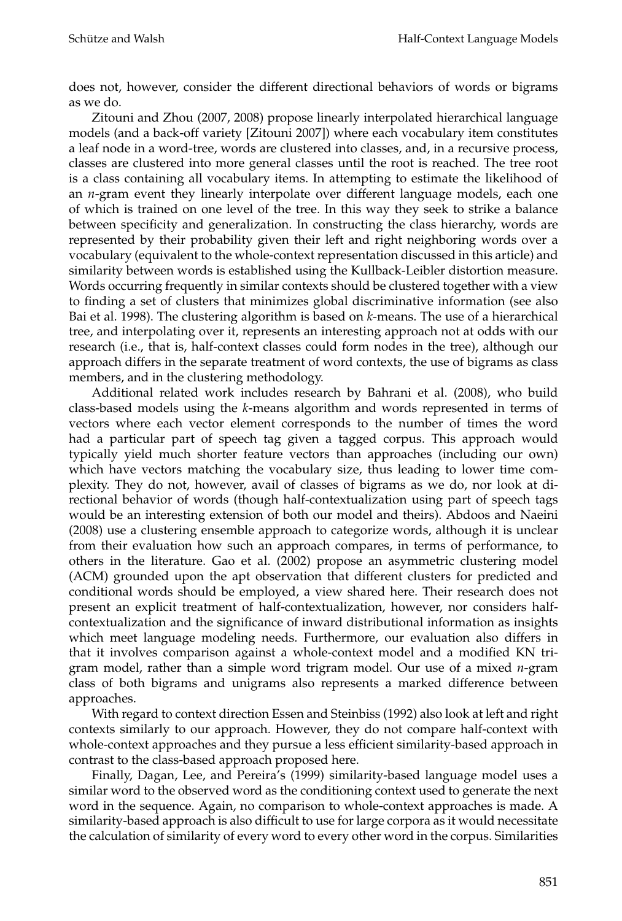does not, however, consider the different directional behaviors of words or bigrams as we do.

Zitouni and Zhou (2007, 2008) propose linearly interpolated hierarchical language models (and a back-off variety [Zitouni 2007]) where each vocabulary item constitutes a leaf node in a word-tree, words are clustered into classes, and, in a recursive process, classes are clustered into more general classes until the root is reached. The tree root is a class containing all vocabulary items. In attempting to estimate the likelihood of an *n*-gram event they linearly interpolate over different language models, each one of which is trained on one level of the tree. In this way they seek to strike a balance between specificity and generalization. In constructing the class hierarchy, words are represented by their probability given their left and right neighboring words over a vocabulary (equivalent to the whole-context representation discussed in this article) and similarity between words is established using the Kullback-Leibler distortion measure. Words occurring frequently in similar contexts should be clustered together with a view to finding a set of clusters that minimizes global discriminative information (see also Bai et al. 1998). The clustering algorithm is based on *k*-means. The use of a hierarchical tree, and interpolating over it, represents an interesting approach not at odds with our research (i.e., that is, half-context classes could form nodes in the tree), although our approach differs in the separate treatment of word contexts, the use of bigrams as class members, and in the clustering methodology.

Additional related work includes research by Bahrani et al. (2008), who build class-based models using the *k*-means algorithm and words represented in terms of vectors where each vector element corresponds to the number of times the word had a particular part of speech tag given a tagged corpus. This approach would typically yield much shorter feature vectors than approaches (including our own) which have vectors matching the vocabulary size, thus leading to lower time complexity. They do not, however, avail of classes of bigrams as we do, nor look at directional behavior of words (though half-contextualization using part of speech tags would be an interesting extension of both our model and theirs). Abdoos and Naeini (2008) use a clustering ensemble approach to categorize words, although it is unclear from their evaluation how such an approach compares, in terms of performance, to others in the literature. Gao et al. (2002) propose an asymmetric clustering model (ACM) grounded upon the apt observation that different clusters for predicted and conditional words should be employed, a view shared here. Their research does not present an explicit treatment of half-contextualization, however, nor considers halfcontextualization and the significance of inward distributional information as insights which meet language modeling needs. Furthermore, our evaluation also differs in that it involves comparison against a whole-context model and a modified KN trigram model, rather than a simple word trigram model. Our use of a mixed *n*-gram class of both bigrams and unigrams also represents a marked difference between approaches.

With regard to context direction Essen and Steinbiss (1992) also look at left and right contexts similarly to our approach. However, they do not compare half-context with whole-context approaches and they pursue a less efficient similarity-based approach in contrast to the class-based approach proposed here.

Finally, Dagan, Lee, and Pereira's (1999) similarity-based language model uses a similar word to the observed word as the conditioning context used to generate the next word in the sequence. Again, no comparison to whole-context approaches is made. A similarity-based approach is also difficult to use for large corpora as it would necessitate the calculation of similarity of every word to every other word in the corpus. Similarities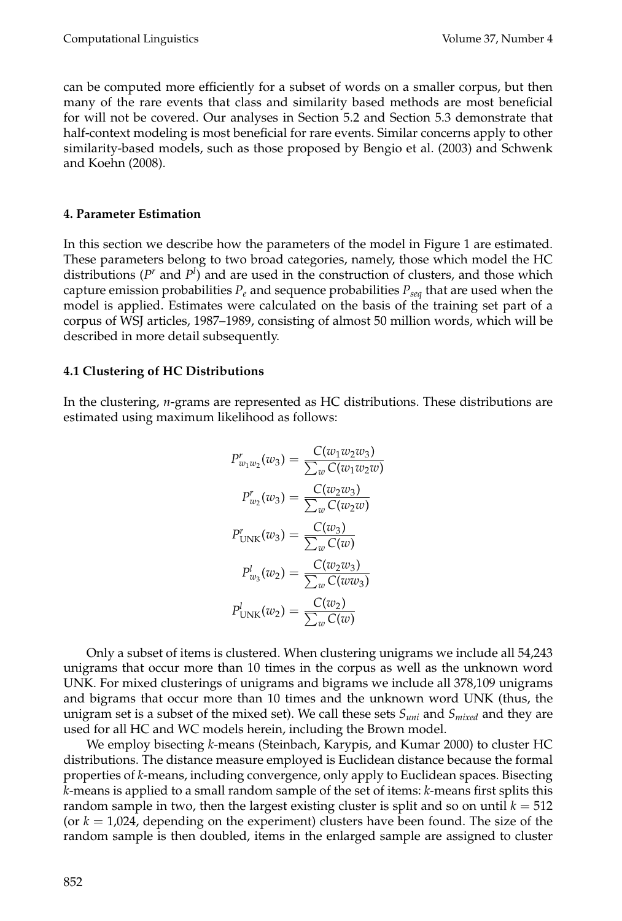can be computed more efficiently for a subset of words on a smaller corpus, but then many of the rare events that class and similarity based methods are most beneficial for will not be covered. Our analyses in Section 5.2 and Section 5.3 demonstrate that half-context modeling is most beneficial for rare events. Similar concerns apply to other similarity-based models, such as those proposed by Bengio et al. (2003) and Schwenk and Koehn (2008).

# **4. Parameter Estimation**

In this section we describe how the parameters of the model in Figure 1 are estimated. These parameters belong to two broad categories, namely, those which model the HC distributions  $(P^r$  and  $P^l$ ) and are used in the construction of clusters, and those which capture emission probabilities  $P_e$  and sequence probabilities  $P_{seq}$  that are used when the model is applied. Estimates were calculated on the basis of the training set part of a corpus of WSJ articles, 1987–1989, consisting of almost 50 million words, which will be described in more detail subsequently.

# **4.1 Clustering of HC Distributions**

In the clustering, *n*-grams are represented as HC distributions. These distributions are estimated using maximum likelihood as follows:

$$
P_{w_1w_2}^r(w_3) = \frac{C(w_1w_2w_3)}{\sum_w C(w_1w_2w)}
$$

$$
P_{w_2}^r(w_3) = \frac{C(w_2w_3)}{\sum_w C(w_2w)}
$$

$$
P_{\text{UNK}}^r(w_3) = \frac{C(w_3)}{\sum_w C(w)}
$$

$$
P_{w_3}^l(w_2) = \frac{C(w_2w_3)}{\sum_w C(ww_3)}
$$

$$
P_{\text{UNK}}^l(w_2) = \frac{C(w_2)}{\sum_w C(w)}
$$

Only a subset of items is clustered. When clustering unigrams we include all 54,243 unigrams that occur more than 10 times in the corpus as well as the unknown word UNK. For mixed clusterings of unigrams and bigrams we include all 378,109 unigrams and bigrams that occur more than 10 times and the unknown word UNK (thus, the unigram set is a subset of the mixed set). We call these sets *Suni* and *Smixed* and they are used for all HC and WC models herein, including the Brown model.

We employ bisecting *k*-means (Steinbach, Karypis, and Kumar 2000) to cluster HC distributions. The distance measure employed is Euclidean distance because the formal properties of *k*-means, including convergence, only apply to Euclidean spaces. Bisecting *k*-means is applied to a small random sample of the set of items: *k*-means first splits this random sample in two, then the largest existing cluster is split and so on until  $k = 512$ (or  $k = 1.024$ , depending on the experiment) clusters have been found. The size of the random sample is then doubled, items in the enlarged sample are assigned to cluster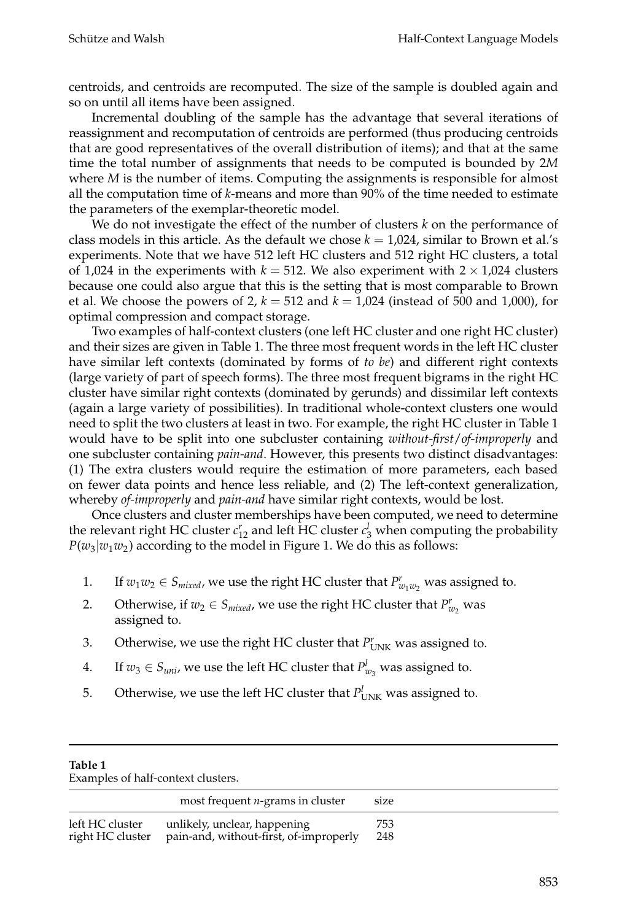centroids, and centroids are recomputed. The size of the sample is doubled again and so on until all items have been assigned.

Incremental doubling of the sample has the advantage that several iterations of reassignment and recomputation of centroids are performed (thus producing centroids that are good representatives of the overall distribution of items); and that at the same time the total number of assignments that needs to be computed is bounded by 2*M* where *M* is the number of items. Computing the assignments is responsible for almost all the computation time of *k*-means and more than 90% of the time needed to estimate the parameters of the exemplar-theoretic model.

We do not investigate the effect of the number of clusters *k* on the performance of class models in this article. As the default we chose  $k = 1,024$ , similar to Brown et al.'s experiments. Note that we have 512 left HC clusters and 512 right HC clusters, a total of 1,024 in the experiments with  $k = 512$ . We also experiment with  $2 \times 1.024$  clusters because one could also argue that this is the setting that is most comparable to Brown et al. We choose the powers of 2,  $k = 512$  and  $k = 1,024$  (instead of 500 and 1,000), for optimal compression and compact storage.

Two examples of half-context clusters (one left HC cluster and one right HC cluster) and their sizes are given in Table 1. The three most frequent words in the left HC cluster have similar left contexts (dominated by forms of *to be*) and different right contexts (large variety of part of speech forms). The three most frequent bigrams in the right HC cluster have similar right contexts (dominated by gerunds) and dissimilar left contexts (again a large variety of possibilities). In traditional whole-context clusters one would need to split the two clusters at least in two. For example, the right HC cluster in Table 1 would have to be split into one subcluster containing *without-first*/*of-improperly* and one subcluster containing *pain-and*. However, this presents two distinct disadvantages: (1) The extra clusters would require the estimation of more parameters, each based on fewer data points and hence less reliable, and (2) The left-context generalization, whereby *of-improperly* and *pain-and* have similar right contexts, would be lost.

Once clusters and cluster memberships have been computed, we need to determine the relevant right HC cluster  $c_{12}^r$  and left HC cluster  $c_3^l$  when computing the probability  $P(w_3|w_1w_2)$  according to the model in Figure 1. We do this as follows:

- 1. If  $w_1w_2 \in S_{mixed}$ , we use the right HC cluster that  $P^r_{w_1w_2}$  was assigned to.
- 2. Otherwise, if  $w_2 \in S_{mixed}$ , we use the right HC cluster that  $P_{w_2}^r$  was assigned to.
- 3. Otherwise, we use the right HC cluster that  $P_{UNK}^r$  was assigned to.
- 4. If  $w_3 \in S_{uni}$ , we use the left HC cluster that  $P_{w_3}^l$  was assigned to.
- 5. Otherwise, we use the left HC cluster that  $P^l_{UNK}$  was assigned to.

| Table 1<br>Examples of half-context clusters. |                                                                        |            |  |  |  |
|-----------------------------------------------|------------------------------------------------------------------------|------------|--|--|--|
|                                               | most frequent $n$ -grams in cluster                                    | size       |  |  |  |
| left HC cluster<br>right HC cluster           | unlikely, unclear, happening<br>pain-and, without-first, of-improperly | 753<br>248 |  |  |  |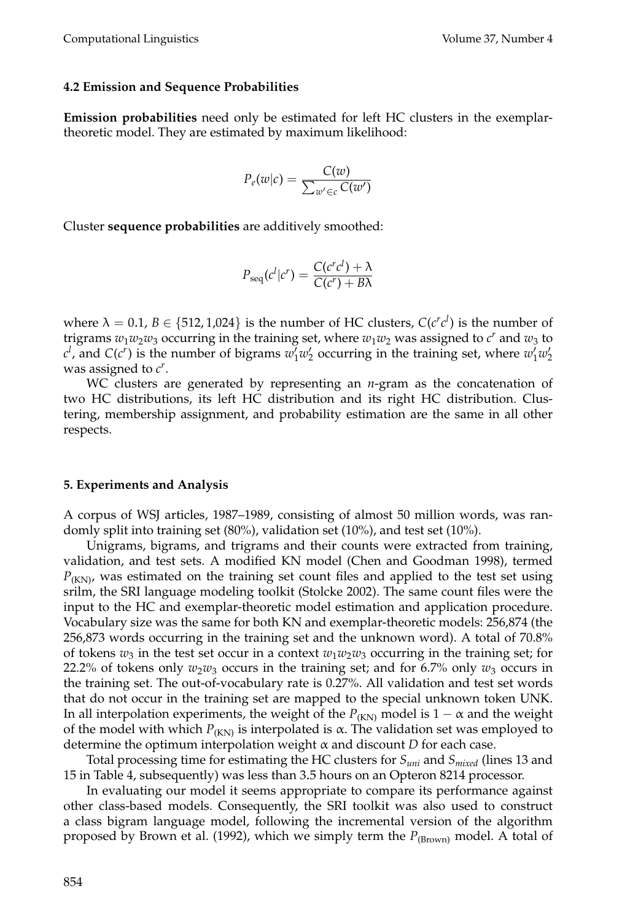#### **4.2 Emission and Sequence Probabilities**

**Emission probabilities** need only be estimated for left HC clusters in the exemplartheoretic model. They are estimated by maximum likelihood:

$$
P_e(w|c) = \frac{C(w)}{\sum_{w' \in c} C(w')}
$$

Cluster **sequence probabilities** are additively smoothed:

$$
P_{\text{seq}}(c^l|c^r) = \frac{C(c^rc^l) + \lambda}{C(c^r) + B\lambda}
$$

where  $\lambda = 0.1$ ,  $B \in \{512, 1,024\}$  is the number of HC clusters,  $C(c^r c^l)$  is the number of trigrams  $w_1w_2w_3$  occurring in the training set, where  $w_1w_2$  was assigned to  $c^r$  and  $w_3$  to  $c^l$ , and  $C(c^r)$  is the number of bigrams  $w'_1w'_2$  occurring in the training set, where  $w'_1w'_2$ was assigned to *c<sup>r</sup>* .

WC clusters are generated by representing an *n*-gram as the concatenation of two HC distributions, its left HC distribution and its right HC distribution. Clustering, membership assignment, and probability estimation are the same in all other respects.

#### **5. Experiments and Analysis**

A corpus of WSJ articles, 1987–1989, consisting of almost 50 million words, was randomly split into training set (80%), validation set (10%), and test set (10%).

Unigrams, bigrams, and trigrams and their counts were extracted from training, validation, and test sets. A modified KN model (Chen and Goodman 1998), termed  $P_{(KN)}$ , was estimated on the training set count files and applied to the test set using srilm, the SRI language modeling toolkit (Stolcke 2002). The same count files were the input to the HC and exemplar-theoretic model estimation and application procedure. Vocabulary size was the same for both KN and exemplar-theoretic models: 256,874 (the 256,873 words occurring in the training set and the unknown word). A total of 70.8% of tokens  $w_3$  in the test set occur in a context  $w_1w_2w_3$  occurring in the training set; for 22.2% of tokens only  $w_2w_3$  occurs in the training set; and for 6.7% only  $w_3$  occurs in the training set. The out-of-vocabulary rate is 0.27%. All validation and test set words that do not occur in the training set are mapped to the special unknown token UNK. In all interpolation experiments, the weight of the  $P_{(KN)}$  model is  $1 - \alpha$  and the weight of the model with which  $P_{(KN)}$  is interpolated is α. The validation set was employed to determine the optimum interpolation weight α and discount *D* for each case.

Total processing time for estimating the HC clusters for *Suni* and *Smixed* (lines 13 and 15 in Table 4, subsequently) was less than 3.5 hours on an Opteron 8214 processor.

In evaluating our model it seems appropriate to compare its performance against other class-based models. Consequently, the SRI toolkit was also used to construct a class bigram language model, following the incremental version of the algorithm proposed by Brown et al. (1992), which we simply term the  $P_{(\text{Brown})}$  model. A total of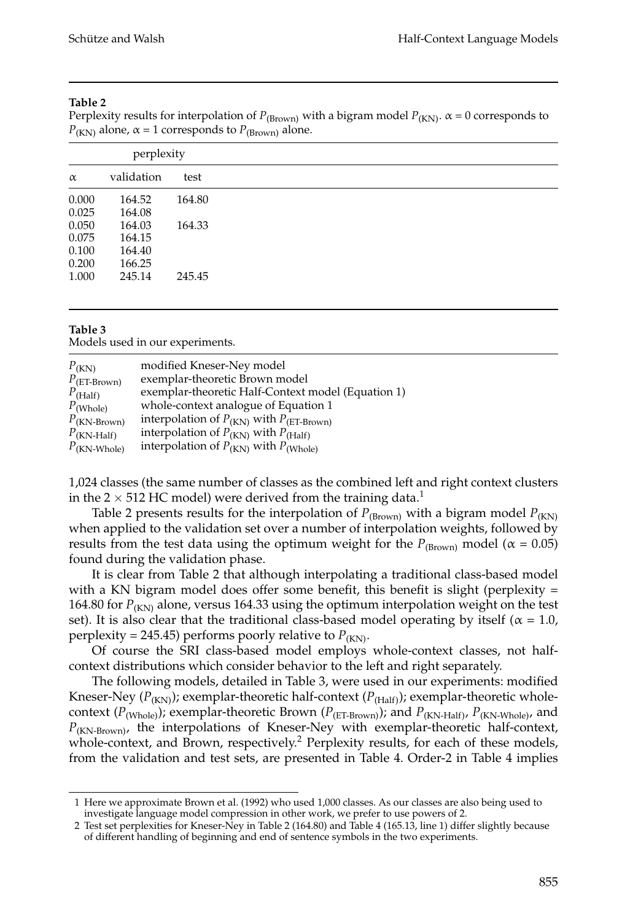### **Table 2**

Perplexity results for interpolation of  $P_{(Brown)}$  with a bigram model  $P_{(KN)}$ .  $\alpha = 0$  corresponds to  $P_{(KN)}$  alone,  $\alpha = 1$  corresponds to  $P_{(Brown)}$  alone.

| perplexity |            |        |  |
|------------|------------|--------|--|
| $\alpha$   | validation | test   |  |
| 0.000      | 164.52     | 164.80 |  |
| 0.025      | 164.08     |        |  |
| 0.050      | 164.03     | 164.33 |  |
| 0.075      | 164.15     |        |  |
| 0.100      | 164.40     |        |  |
| 0.200      | 166.25     |        |  |
| 1.000      | 245.14     | 245.45 |  |
|            |            |        |  |

### **Table 3**

Models used in our experiments.

| $P_{(KN)}$              | modified Kneser-Ney model                                |
|-------------------------|----------------------------------------------------------|
| $P_{\text{(ET-Brown)}}$ | exemplar-theoretic Brown model                           |
| $P_{(Half)}$            | exemplar-theoretic Half-Context model (Equation 1)       |
| $P_{(Whole)}$           | whole-context analogue of Equation 1                     |
| $P_{\text{(KN-Brown)}}$ | interpolation of $P_{(KN)}$ with $P_{(ET\text{-Brown})}$ |
| $P_{(KN\text{-Half})}$  | interpolation of $P_{(KN)}$ with $P_{(Half)}$            |
| $P_{\text{(KN-Whole)}}$ | interpolation of $P_{(KN)}$ with $P_{(Whole)}$           |

1,024 classes (the same number of classes as the combined left and right context clusters in the 2  $\times$  512 HC model) were derived from the training data.<sup>1</sup>

Table 2 presents results for the interpolation of  $P_{(\text{Brown})}$  with a bigram model  $P_{(\text{KN})}$ when applied to the validation set over a number of interpolation weights, followed by results from the test data using the optimum weight for the  $P_{(Brown)}$  model ( $\alpha = 0.05$ ) found during the validation phase.

It is clear from Table 2 that although interpolating a traditional class-based model with a KN bigram model does offer some benefit, this benefit is slight (perplexity  $=$ 164.80 for  $P_{(KN)}$  alone, versus 164.33 using the optimum interpolation weight on the test set). It is also clear that the traditional class-based model operating by itself ( $\alpha = 1.0$ , perplexity = 245.45) performs poorly relative to  $P_{(KN)}$ .

Of course the SRI class-based model employs whole-context classes, not halfcontext distributions which consider behavior to the left and right separately.

The following models, detailed in Table 3, were used in our experiments: modified Kneser-Ney ( $P_{(KN)}$ ); exemplar-theoretic half-context ( $P_{(Half)}$ ); exemplar-theoretic wholecontext ( $P_{(Whole)}$ ); exemplar-theoretic Brown ( $P_{(ET-Brown)}$ ); and  $P_{(KN\text{-Half})}, P_{(KN\text{-Whole})}$ , and *P*(KN-Brown), the interpolations of Kneser-Ney with exemplar-theoretic half-context, whole-context, and Brown, respectively.<sup>2</sup> Perplexity results, for each of these models, from the validation and test sets, are presented in Table 4. Order-2 in Table 4 implies

<sup>1</sup> Here we approximate Brown et al. (1992) who used 1,000 classes. As our classes are also being used to investigate language model compression in other work, we prefer to use powers of 2.

<sup>2</sup> Test set perplexities for Kneser-Ney in Table 2 (164.80) and Table 4 (165.13, line 1) differ slightly because of different handling of beginning and end of sentence symbols in the two experiments.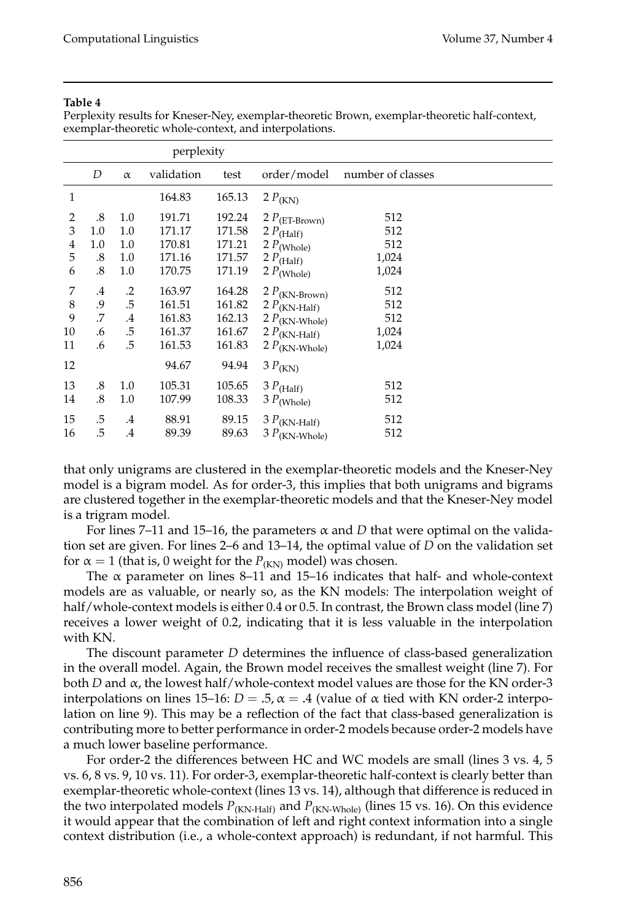#### **Table 4**

Perplexity results for Kneser-Ney, exemplar-theoretic Brown, exemplar-theoretic half-context, exemplar-theoretic whole-context, and interpolations.

| perplexity       |                            |                          |                                      |                                      |                                                                                    |                            |  |
|------------------|----------------------------|--------------------------|--------------------------------------|--------------------------------------|------------------------------------------------------------------------------------|----------------------------|--|
|                  | D                          | $\alpha$                 | validation                           | test                                 | order/model                                                                        | number of classes          |  |
| $\mathbf{1}$     |                            |                          | 164.83                               | 165.13                               | 2 $P_{(KN)}$                                                                       |                            |  |
| 2<br>3<br>4<br>5 | .8<br>1.0<br>$1.0\,$<br>.8 | 1.0<br>1.0<br>1.0<br>1.0 | 191.71<br>171.17<br>170.81<br>171.16 | 192.24<br>171.58<br>171.21<br>171.57 | 2 $P$ (ET-Brown)<br>2 $P_{(Half)}$<br>$2 P_{(Whole)}$<br>2 $P_{(Half)}$            | 512<br>512<br>512<br>1,024 |  |
| 6<br>7           | .8<br>$\cdot$              | 1.0<br>.2                | 170.75<br>163.97                     | 171.19<br>164.28                     | $2\ P(\text{Whole})$                                                               | 1,024<br>512               |  |
| 8<br>9           | .9<br>.7                   | .5<br>.4                 | 161.51<br>161.83                     | 161.82<br>162.13                     | $2 P_{(KN\text{-}Brown)}$<br>2 $P_{(KN\text{-Half})}$<br>2 $P_{(KN\text{-}Whole)}$ | 512<br>512                 |  |
| 10<br>11         | .6<br>.6                   | .5<br>.5                 | 161.37<br>161.53                     | 161.67<br>161.83                     | 2 $P_{(KN\text{-Half})}$<br>$2 P_{(KN\text{-}Whole)}$                              | 1,024<br>1,024             |  |
| 12               |                            |                          | 94.67                                | 94.94                                | $3 P_{(KN)}$                                                                       |                            |  |
| 13<br>14         | .8<br>.8                   | 1.0<br>1.0               | 105.31<br>107.99                     | 105.65<br>108.33                     | $3 P_{(Half)}$<br>$3 P$ (Whole)                                                    | 512<br>512                 |  |
| 15<br>16         | .5<br>.5                   | $\cdot$ 4<br>.4          | 88.91<br>89.39                       | 89.15<br>89.63                       | $3 P_{(KN\text{-Half})}$<br>$3 P(KN\text{-Whole})$                                 | 512<br>512                 |  |

that only unigrams are clustered in the exemplar-theoretic models and the Kneser-Ney model is a bigram model. As for order-3, this implies that both unigrams and bigrams are clustered together in the exemplar-theoretic models and that the Kneser-Ney model is a trigram model.

For lines 7–11 and 15–16, the parameters  $\alpha$  and *D* that were optimal on the validation set are given. For lines 2–6 and 13–14, the optimal value of *D* on the validation set for  $\alpha = 1$  (that is, 0 weight for the  $P_{(KN)}$  model) was chosen.

The  $\alpha$  parameter on lines 8–11 and 15–16 indicates that half- and whole-context models are as valuable, or nearly so, as the KN models: The interpolation weight of half/whole-context models is either 0.4 or 0.5. In contrast, the Brown class model (line 7) receives a lower weight of 0.2, indicating that it is less valuable in the interpolation with KN.

The discount parameter *D* determines the influence of class-based generalization in the overall model. Again, the Brown model receives the smallest weight (line 7). For both *D* and α, the lowest half/whole-context model values are those for the KN order-3 interpolations on lines  $15-16$ :  $D = .5$ ,  $\alpha = .4$  (value of  $\alpha$  tied with KN order-2 interpolation on line 9). This may be a reflection of the fact that class-based generalization is contributing more to better performance in order-2 models because order-2 models have a much lower baseline performance.

For order-2 the differences between HC and WC models are small (lines 3 vs. 4, 5 vs. 6, 8 vs. 9, 10 vs. 11). For order-3, exemplar-theoretic half-context is clearly better than exemplar-theoretic whole-context (lines 13 vs. 14), although that difference is reduced in the two interpolated models  $P_{(KN\text{-}Half)}$  and  $P_{(KN\text{-}Whole)}$  (lines 15 vs. 16). On this evidence it would appear that the combination of left and right context information into a single context distribution (i.e., a whole-context approach) is redundant, if not harmful. This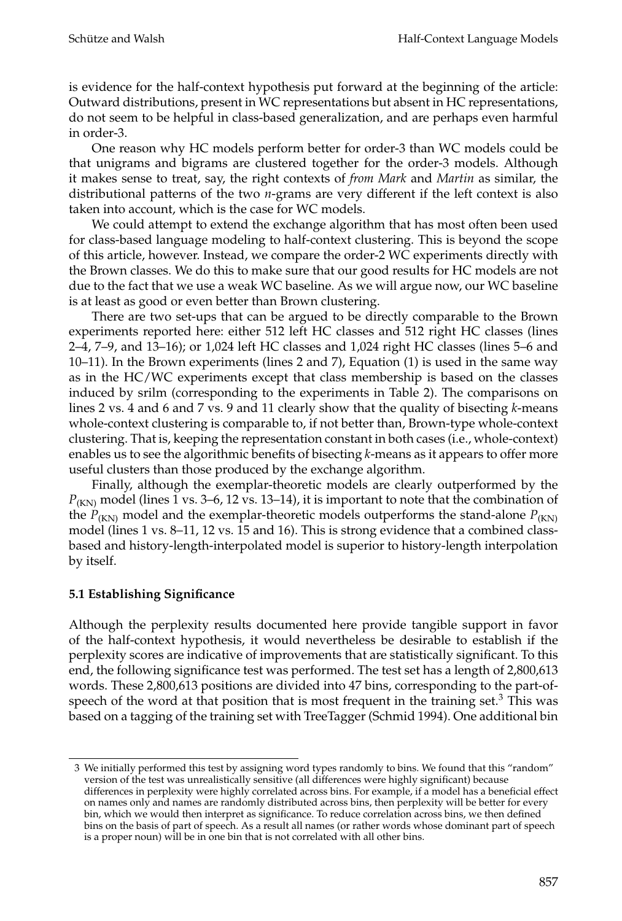is evidence for the half-context hypothesis put forward at the beginning of the article: Outward distributions, present in WC representations but absent in HC representations, do not seem to be helpful in class-based generalization, and are perhaps even harmful in order-3.

One reason why HC models perform better for order-3 than WC models could be that unigrams and bigrams are clustered together for the order-3 models. Although it makes sense to treat, say, the right contexts of *from Mark* and *Martin* as similar, the distributional patterns of the two *n*-grams are very different if the left context is also taken into account, which is the case for WC models.

We could attempt to extend the exchange algorithm that has most often been used for class-based language modeling to half-context clustering. This is beyond the scope of this article, however. Instead, we compare the order-2 WC experiments directly with the Brown classes. We do this to make sure that our good results for HC models are not due to the fact that we use a weak WC baseline. As we will argue now, our WC baseline is at least as good or even better than Brown clustering.

There are two set-ups that can be argued to be directly comparable to the Brown experiments reported here: either 512 left HC classes and 512 right HC classes (lines 2–4, 7–9, and 13–16); or 1,024 left HC classes and 1,024 right HC classes (lines 5–6 and 10–11). In the Brown experiments (lines 2 and 7), Equation (1) is used in the same way as in the HC/WC experiments except that class membership is based on the classes induced by srilm (corresponding to the experiments in Table 2). The comparisons on lines 2 vs. 4 and 6 and 7 vs. 9 and 11 clearly show that the quality of bisecting *k*-means whole-context clustering is comparable to, if not better than, Brown-type whole-context clustering. That is, keeping the representation constant in both cases (i.e., whole-context) enables us to see the algorithmic benefits of bisecting *k*-means as it appears to offer more useful clusters than those produced by the exchange algorithm.

Finally, although the exemplar-theoretic models are clearly outperformed by the  $P_{(KN)}$  model (lines 1 vs. 3–6, 12 vs. 13–14), it is important to note that the combination of the  $P_{(KN)}$  model and the exemplar-theoretic models outperforms the stand-alone  $P_{(KN)}$ model (lines 1 vs. 8–11, 12 vs. 15 and 16). This is strong evidence that a combined classbased and history-length-interpolated model is superior to history-length interpolation by itself.

# **5.1 Establishing Significance**

Although the perplexity results documented here provide tangible support in favor of the half-context hypothesis, it would nevertheless be desirable to establish if the perplexity scores are indicative of improvements that are statistically significant. To this end, the following significance test was performed. The test set has a length of 2,800,613 words. These 2,800,613 positions are divided into 47 bins, corresponding to the part-ofspeech of the word at that position that is most frequent in the training set. $3$  This was based on a tagging of the training set with TreeTagger (Schmid 1994). One additional bin

<sup>3</sup> We initially performed this test by assigning word types randomly to bins. We found that this "random" version of the test was unrealistically sensitive (all differences were highly significant) because differences in perplexity were highly correlated across bins. For example, if a model has a beneficial effect on names only and names are randomly distributed across bins, then perplexity will be better for every bin, which we would then interpret as significance. To reduce correlation across bins, we then defined bins on the basis of part of speech. As a result all names (or rather words whose dominant part of speech is a proper noun) will be in one bin that is not correlated with all other bins.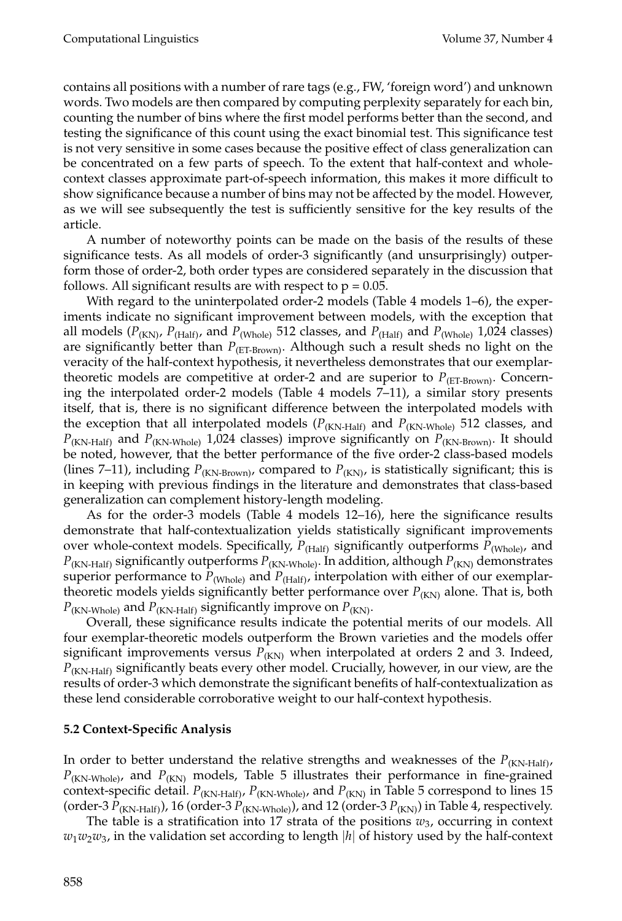contains all positions with a number of rare tags (e.g., FW, 'foreign word') and unknown words. Two models are then compared by computing perplexity separately for each bin, counting the number of bins where the first model performs better than the second, and testing the significance of this count using the exact binomial test. This significance test is not very sensitive in some cases because the positive effect of class generalization can be concentrated on a few parts of speech. To the extent that half-context and wholecontext classes approximate part-of-speech information, this makes it more difficult to show significance because a number of bins may not be affected by the model. However, as we will see subsequently the test is sufficiently sensitive for the key results of the article.

A number of noteworthy points can be made on the basis of the results of these significance tests. As all models of order-3 significantly (and unsurprisingly) outperform those of order-2, both order types are considered separately in the discussion that follows. All significant results are with respect to  $p = 0.05$ .

With regard to the uninterpolated order-2 models (Table 4 models 1–6), the experiments indicate no significant improvement between models, with the exception that all models ( $P_{(KN)}$ ,  $P_{(H\text{alf})}$ , and  $P_{(Whole)}$  512 classes, and  $P_{(H\text{alf})}$  and  $P_{(Whole)}$  1,024 classes) are significantly better than  $P_{(ET-Brown)}$ . Although such a result sheds no light on the veracity of the half-context hypothesis, it nevertheless demonstrates that our exemplartheoretic models are competitive at order-2 and are superior to  $P_{(ET-Brown)}$ . Concerning the interpolated order-2 models (Table 4 models 7–11), a similar story presents itself, that is, there is no significant difference between the interpolated models with the exception that all interpolated models ( $P_{(KN\text{-Half})}$  and  $P_{(KN\text{-Whole})}$  512 classes, and  $P_{(KN\text{-Half})}$  and  $P_{(KN\text{-}Whole)}$  1,024 classes) improve significantly on  $P_{(KN\text{-}Brown)}$ . It should be noted, however, that the better performance of the five order-2 class-based models (lines 7–11), including  $P_{(KN\text{-Brown})}$ , compared to  $P_{(KN)}$ , is statistically significant; this is in keeping with previous findings in the literature and demonstrates that class-based generalization can complement history-length modeling.

As for the order-3 models (Table 4 models 12–16), here the significance results demonstrate that half-contextualization yields statistically significant improvements over whole-context models. Specifically,  $P_{(Half)}$  significantly outperforms  $P_{(Whole)}$ , and  $P_{(KN\text{-Half})}$  significantly outperforms  $P_{(KN\text{-}Whole)}$ . In addition, although  $P_{(KN)}$  demonstrates superior performance to  $P_{(Whole)}$  and  $P_{(Half)}$ , interpolation with either of our exemplartheoretic models yields significantly better performance over  $P_{(KN)}$  alone. That is, both  $P_{(KN\text{-}Whole)}$  and  $P_{(KN\text{-}Half)}$  significantly improve on  $P_{(KN)}$ .

Overall, these significance results indicate the potential merits of our models. All four exemplar-theoretic models outperform the Brown varieties and the models offer significant improvements versus  $P_{(KN)}$  when interpolated at orders 2 and 3. Indeed, *P*<sub>(KN-Half)</sub> significantly beats every other model. Crucially, however, in our view, are the results of order-3 which demonstrate the significant benefits of half-contextualization as these lend considerable corroborative weight to our half-context hypothesis.

# **5.2 Context-Specific Analysis**

In order to better understand the relative strengths and weaknesses of the  $P_{(KN\text{-Half})}$ ,  $P_{(KN\text{-}Whole)}$ , and  $P_{(KN)}$  models, Table 5 illustrates their performance in fine-grained context-specific detail.  $P_{(KN\text{-Half})}$ ,  $P_{(KN\text{-Whole})}$ , and  $P_{(KN)}$  in Table 5 correspond to lines 15 (order-3  $P_{(KN\text{-Half})}$ ), 16 (order-3  $P_{(KN\text{-Whole})}$ ), and 12 (order-3  $P_{(KN)}$ ) in Table 4, respectively.

The table is a stratification into 17 strata of the positions  $w_3$ , occurring in context  $w_1w_2w_3$ , in the validation set according to length |h| of history used by the half-context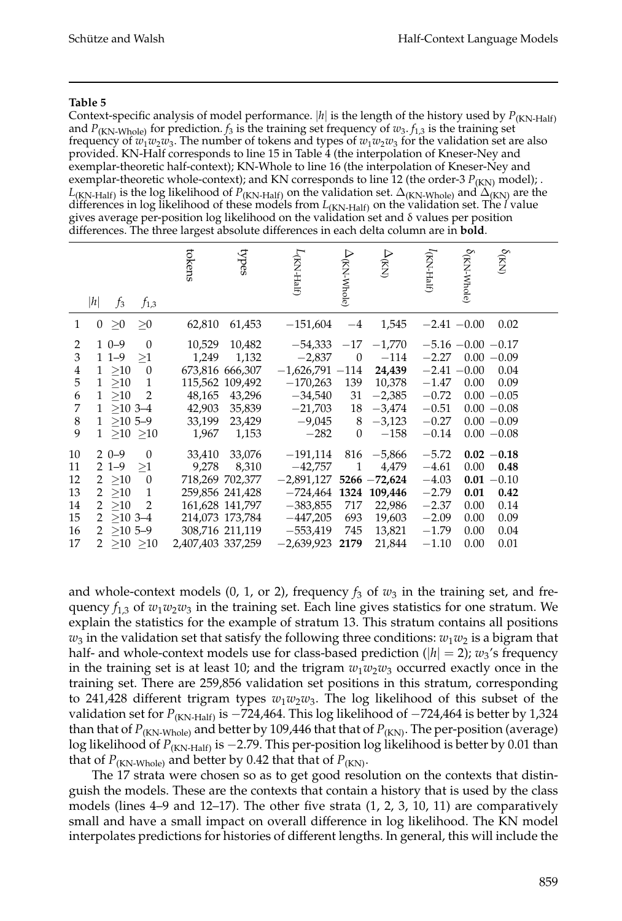#### **Table 5**

Context-specific analysis of model performance.  $|h|$  is the length of the history used by  $P_{(KN\text{-Half})}$ and  $P_{(KN-Whole)}$  for prediction.  $f_3$  is the training set frequency of  $w_3$ .  $f_{1,3}$  is the training set frequency of  $w_1w_2w_3$ . The number of tokens and types of  $w_1w_2w_3$  for the validation set are also provided. KN-Half corresponds to line 15 in Table 4 (the interpolation of Kneser-Ney and exemplar-theoretic half-context); KN-Whole to line 16 (the interpolation of Kneser-Ney and exemplar-theoretic whole-context); and KN corresponds to line 12 (the order-3  $P_{(KN)}$  model); .  $L_{(KN\text{-Half})}$  is the log likelihood of  $P_{(KN\text{-Half})}$  on the validation set.  $\Delta_{(KN\text{-Whole})}$  and  $\Delta_{(KN)}$  are the differences in log likelihood of these models from *L*(KN-Half) on the validation set. The *l* value gives average per-position log likelihood on the validation set and δ values per position differences. The three largest absolute differences in each delta column are in **bold**.

|                                                         | h <br>$f_3$<br>$f_{1,3}$                                                                                                                                                                 | tokens<br>types                                                                                                                                        |                                                                                                          | $\Delta_{\rm (KN\text{-}Whole)}$<br>$\Delta_{\rm (KN)}$                                                                                            | (KN-Half)                                                                            | $\delta_{\rm (KN}$ Whole)<br>$\delta_{\rm (KN)}$                                                                                                     |  |
|---------------------------------------------------------|------------------------------------------------------------------------------------------------------------------------------------------------------------------------------------------|--------------------------------------------------------------------------------------------------------------------------------------------------------|----------------------------------------------------------------------------------------------------------|----------------------------------------------------------------------------------------------------------------------------------------------------|--------------------------------------------------------------------------------------|------------------------------------------------------------------------------------------------------------------------------------------------------|--|
| $\mathbf{1}$                                            | $\geq 0$<br>$\theta$<br>>0                                                                                                                                                               | 62,810<br>61,453                                                                                                                                       | $-151,604$                                                                                               | 1,545<br>$-4$                                                                                                                                      |                                                                                      | $-2.41 - 0.00$<br>0.02                                                                                                                               |  |
| 2<br>$\mathfrak{Z}$<br>4<br>5<br>6<br>7<br>$\,8\,$<br>9 | $10-9$<br>$\overline{0}$<br>$11-9$<br>>1<br>$1 \geq 10$<br>$\overline{0}$<br>$1 \ge 10$<br>$\mathbf{1}$<br>$\overline{2}$<br>1 >10<br>$1 > 10$ 3-4<br>$1 > 105-9$<br>$1 \geq 10 \geq 10$ | 10,529<br>10,482<br>1,249<br>1,132<br>673,816 666,307<br>115,562 109,492<br>48,165<br>43,296<br>42,903<br>35,839<br>33,199<br>23,429<br>1,967<br>1,153 | $-54,333$<br>$-2,837$<br>$-1,626,791 -114$<br>$-170,263$<br>$-34,540$<br>$-21,703$<br>$-9,045$<br>$-282$ | $-17 -1,770$<br>$\overline{0}$<br>$-114$<br>24,439<br>10,378<br>139<br>$-2,385$<br>31<br>18<br>$-3,474$<br>8<br>$-3,123$<br>$\mathbf{0}$<br>$-158$ | $-2.27$<br>$-1.47$<br>$-0.72$<br>$-0.51$<br>$-0.27$<br>$-0.14$                       | $-5.16 - 0.00 - 0.17$<br>$0.00 - 0.09$<br>$-2.41 - 0.00$<br>0.04<br>0.00<br>0.09<br>$0.00 - 0.05$<br>$0.00 - 0.08$<br>$0.00 - 0.09$<br>$0.00 - 0.08$ |  |
| 10<br>11<br>12<br>13<br>14<br>15<br>16<br>17            | $\theta$<br>$20-9$<br>$21-9$<br>$\geq1$<br>$2 \ge 10$<br>$\overline{0}$<br>2 > 10<br>1<br>$\overline{2}$<br>2 > 10<br>$2 > 10$ 3-4<br>$2 \ge 105-9$<br>$2 \ge 10 \ge 10$                 | 33,410<br>33,076<br>9,278<br>8,310<br>718,269 702,377<br>259,856 241,428<br>161,628 141,797<br>214,073 173,784<br>308.716 211.119<br>2,407,403 337,259 | $-191,114$<br>$-42,757$<br>$-2,891,127$<br>$-383,855$<br>$-447,205$<br>$-553,419$<br>$-2,639,923$        | $816 - 5,866$<br>1<br>4,479<br>$5266 - 72,624$<br>$-724,464$ 1324 109,446<br>717<br>22,986<br>693<br>19,603<br>745<br>13,821<br>21,844<br>2179     | $-5.72$<br>$-4.61$<br>$-4.03$<br>$-2.79$<br>$-2.37$<br>$-2.09$<br>$-1.79$<br>$-1.10$ | $0.02 - 0.18$<br>0.00<br>0.48<br>$0.01 - 0.10$<br>0.01<br>0.42<br>0.00<br>0.14<br>0.09<br>0.00<br>0.04<br>0.00<br>0.01<br>0.00                       |  |

and whole-context models (0, 1, or 2), frequency  $f_3$  of  $w_3$  in the training set, and frequency  $f_{1,3}$  of  $w_1w_2w_3$  in the training set. Each line gives statistics for one stratum. We explain the statistics for the example of stratum 13. This stratum contains all positions  $w_3$  in the validation set that satisfy the following three conditions:  $w_1w_2$  is a bigram that half- and whole-context models use for class-based prediction ( $|h| = 2$ );  $w_3$ 's frequency in the training set is at least 10; and the trigram  $w_1w_2w_3$  occurred exactly once in the training set. There are 259,856 validation set positions in this stratum, corresponding to 241,428 different trigram types *w*1*w*2*w*3. The log likelihood of this subset of the validation set for *P*(KN-Half) is −724,464. This log likelihood of −724,464 is better by 1,324 than that of  $P_{(KN\text{-}Whole)}$  and better by 109,446 that that of  $P_{(KN)}$ . The per-position (average) log likelihood of *P*<sub>(KN-Half)</sub> is −2.79. This per-position log likelihood is better by 0.01 than that of  $P_{(KN\text{-}Whole)}$  and better by 0.42 that that of  $P_{(KN)}$ .

The 17 strata were chosen so as to get good resolution on the contexts that distinguish the models. These are the contexts that contain a history that is used by the class models (lines 4–9 and 12–17). The other five strata (1, 2, 3, 10, 11) are comparatively small and have a small impact on overall difference in log likelihood. The KN model interpolates predictions for histories of different lengths. In general, this will include the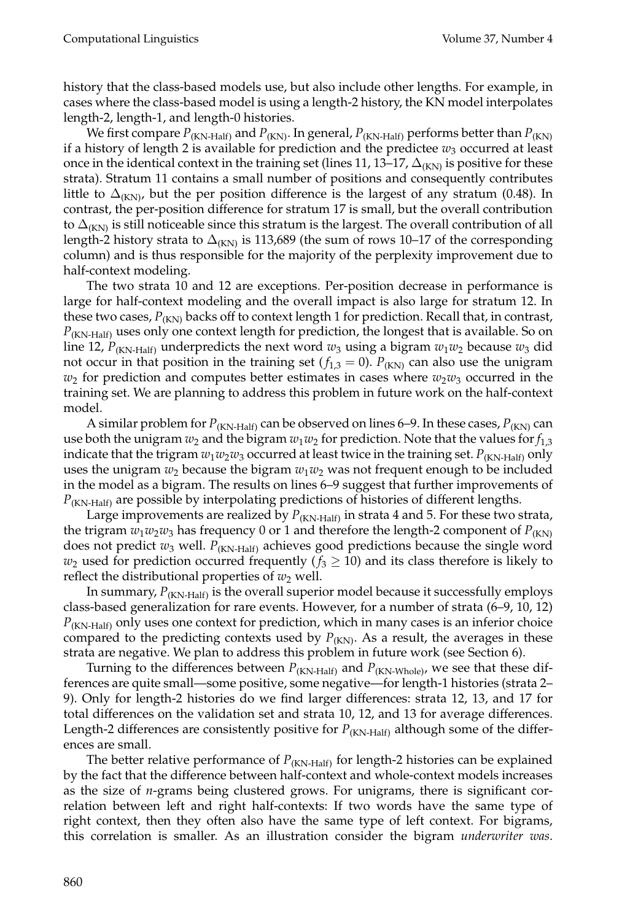history that the class-based models use, but also include other lengths. For example, in cases where the class-based model is using a length-2 history, the KN model interpolates length-2, length-1, and length-0 histories.

We first compare  $P_{(KN\text{-Half})}$  and  $P_{(KN)}$ . In general,  $P_{(KN\text{-Half})}$  performs better than  $P_{(KN)}$ if a history of length 2 is available for prediction and the predictee  $w_3$  occurred at least once in the identical context in the training set (lines 11, 13–17,  $\Delta_{(KN)}$  is positive for these strata). Stratum 11 contains a small number of positions and consequently contributes little to  $\Delta_{KNN}$ , but the per position difference is the largest of any stratum (0.48). In contrast, the per-position difference for stratum 17 is small, but the overall contribution to  $\Delta_{K}$  is still noticeable since this stratum is the largest. The overall contribution of all length-2 history strata to  $\Delta_{(KN)}$  is 113,689 (the sum of rows 10–17 of the corresponding column) and is thus responsible for the majority of the perplexity improvement due to half-context modeling.

The two strata 10 and 12 are exceptions. Per-position decrease in performance is large for half-context modeling and the overall impact is also large for stratum 12. In these two cases,  $P_{(KN)}$  backs off to context length 1 for prediction. Recall that, in contrast,  $P_{(KN\text{-Half})}$  uses only one context length for prediction, the longest that is available. So on line 12, *P*<sub>(KN-Half)</sub> underpredicts the next word  $w_3$  using a bigram  $w_1w_2$  because  $w_3$  did not occur in that position in the training set ( $f_{1,3} = 0$ ).  $P_{(KN)}$  can also use the unigram  $w_2$  for prediction and computes better estimates in cases where  $w_2w_3$  occurred in the training set. We are planning to address this problem in future work on the half-context model.

A similar problem for  $P_{(KN\text{-Half})}$  can be observed on lines 6–9. In these cases,  $P_{(KN)}$  can use both the unigram  $w_2$  and the bigram  $w_1w_2$  for prediction. Note that the values for  $f_{1,3}$ indicate that the trigram  $w_1w_2w_3$  occurred at least twice in the training set.  $P_{(KN\text{-Half})}$  only uses the unigram  $w_2$  because the bigram  $w_1w_2$  was not frequent enough to be included in the model as a bigram. The results on lines 6–9 suggest that further improvements of *P*(KN-Half) are possible by interpolating predictions of histories of different lengths.

Large improvements are realized by  $P_{(KN\text{-Half})}$  in strata 4 and 5. For these two strata, the trigram  $w_1w_2w_3$  has frequency 0 or 1 and therefore the length-2 component of  $P_{(KN)}$ does not predict  $w_3$  well.  $P_{(KN\text{-Half})}$  achieves good predictions because the single word  $w_2$  used for prediction occurred frequently ( $f_3 \ge 10$ ) and its class therefore is likely to reflect the distributional properties of  $w_2$  well.

In summary,  $P_{(KN\text{-Half})}$  is the overall superior model because it successfully employs class-based generalization for rare events. However, for a number of strata (6–9, 10, 12) *P*(KN-Half) only uses one context for prediction, which in many cases is an inferior choice compared to the predicting contexts used by  $P_{(KN)}$ . As a result, the averages in these strata are negative. We plan to address this problem in future work (see Section 6).

Turning to the differences between  $P_{(KN\text{-Half})}$  and  $P_{(KN\text{-Whole})}$ , we see that these differences are quite small—some positive, some negative—for length-1 histories (strata 2– 9). Only for length-2 histories do we find larger differences: strata 12, 13, and 17 for total differences on the validation set and strata 10, 12, and 13 for average differences. Length-2 differences are consistently positive for  $P_{(KN\text{-Half})}$  although some of the differences are small.

The better relative performance of  $P_{(KN\text{-Half})}$  for length-2 histories can be explained by the fact that the difference between half-context and whole-context models increases as the size of *n*-grams being clustered grows. For unigrams, there is significant correlation between left and right half-contexts: If two words have the same type of right context, then they often also have the same type of left context. For bigrams, this correlation is smaller. As an illustration consider the bigram *underwriter was*.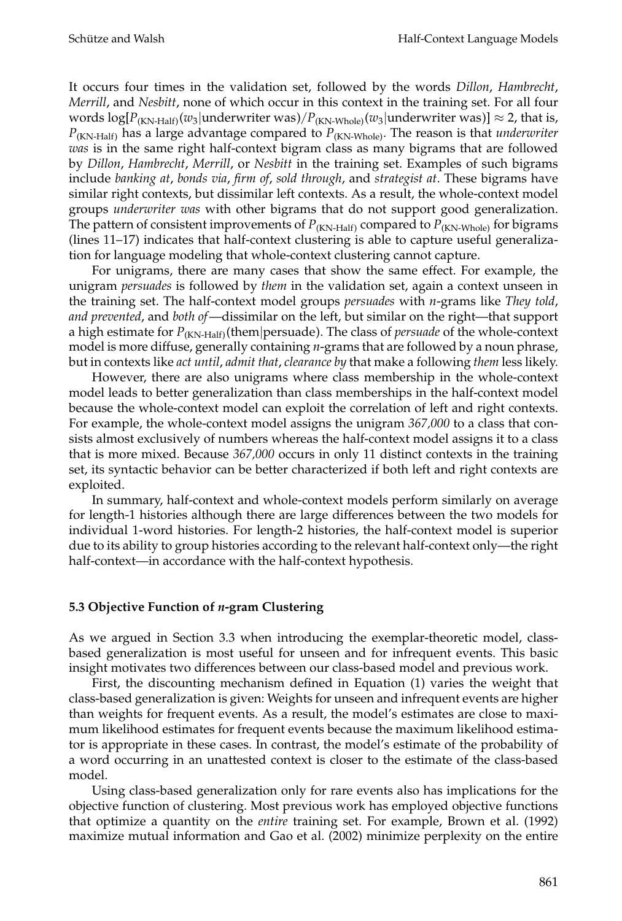It occurs four times in the validation set, followed by the words *Dillon*, *Hambrecht*, *Merrill*, and *Nesbitt*, none of which occur in this context in the training set. For all four words log[*P*(KN-Half)(*w*3|underwriter was)/*P*(KN-Whole)(*w*3|underwriter was)] ≈ 2, that is, *P*(KN-Half) has a large advantage compared to *P*(KN-Whole). The reason is that *underwriter was* is in the same right half-context bigram class as many bigrams that are followed by *Dillon*, *Hambrecht*, *Merrill*, or *Nesbitt* in the training set. Examples of such bigrams include *banking at*, *bonds via*, *firm of*, *sold through*, and *strategist at*. These bigrams have similar right contexts, but dissimilar left contexts. As a result, the whole-context model groups *underwriter was* with other bigrams that do not support good generalization. The pattern of consistent improvements of  $P_{(KN\text{-Half})}$  compared to  $P_{(KN\text{-Whole})}$  for bigrams (lines 11–17) indicates that half-context clustering is able to capture useful generalization for language modeling that whole-context clustering cannot capture.

For unigrams, there are many cases that show the same effect. For example, the unigram *persuades* is followed by *them* in the validation set, again a context unseen in the training set. The half-context model groups *persuades* with *n*-grams like *They told*, *and prevented*, and *both of*—dissimilar on the left, but similar on the right—that support a high estimate for  $P_{(KN\text{-Half})}$ (them|persuade). The class of *persuade* of the whole-context model is more diffuse, generally containing *n*-grams that are followed by a noun phrase, but in contexts like *act until*, *admit that*, *clearance by* that make a following *them* less likely.

However, there are also unigrams where class membership in the whole-context model leads to better generalization than class memberships in the half-context model because the whole-context model can exploit the correlation of left and right contexts. For example, the whole-context model assigns the unigram *367,000* to a class that consists almost exclusively of numbers whereas the half-context model assigns it to a class that is more mixed. Because *367,000* occurs in only 11 distinct contexts in the training set, its syntactic behavior can be better characterized if both left and right contexts are exploited.

In summary, half-context and whole-context models perform similarly on average for length-1 histories although there are large differences between the two models for individual 1-word histories. For length-2 histories, the half-context model is superior due to its ability to group histories according to the relevant half-context only—the right half-context—in accordance with the half-context hypothesis.

# **5.3 Objective Function of** *n***-gram Clustering**

As we argued in Section 3.3 when introducing the exemplar-theoretic model, classbased generalization is most useful for unseen and for infrequent events. This basic insight motivates two differences between our class-based model and previous work.

First, the discounting mechanism defined in Equation (1) varies the weight that class-based generalization is given: Weights for unseen and infrequent events are higher than weights for frequent events. As a result, the model's estimates are close to maximum likelihood estimates for frequent events because the maximum likelihood estimator is appropriate in these cases. In contrast, the model's estimate of the probability of a word occurring in an unattested context is closer to the estimate of the class-based model.

Using class-based generalization only for rare events also has implications for the objective function of clustering. Most previous work has employed objective functions that optimize a quantity on the *entire* training set. For example, Brown et al. (1992) maximize mutual information and Gao et al. (2002) minimize perplexity on the entire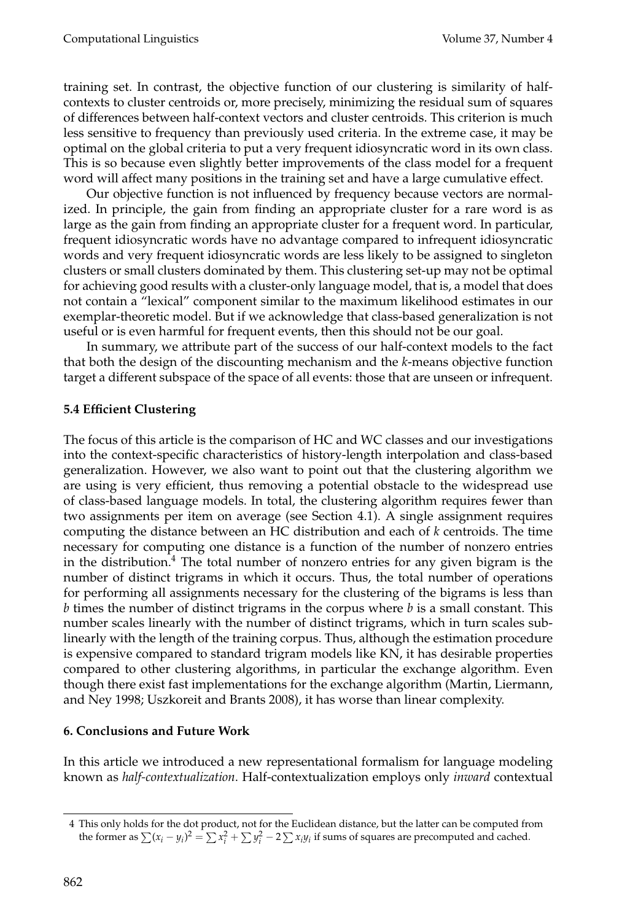training set. In contrast, the objective function of our clustering is similarity of halfcontexts to cluster centroids or, more precisely, minimizing the residual sum of squares of differences between half-context vectors and cluster centroids. This criterion is much less sensitive to frequency than previously used criteria. In the extreme case, it may be optimal on the global criteria to put a very frequent idiosyncratic word in its own class. This is so because even slightly better improvements of the class model for a frequent word will affect many positions in the training set and have a large cumulative effect.

Our objective function is not influenced by frequency because vectors are normalized. In principle, the gain from finding an appropriate cluster for a rare word is as large as the gain from finding an appropriate cluster for a frequent word. In particular, frequent idiosyncratic words have no advantage compared to infrequent idiosyncratic words and very frequent idiosyncratic words are less likely to be assigned to singleton clusters or small clusters dominated by them. This clustering set-up may not be optimal for achieving good results with a cluster-only language model, that is, a model that does not contain a "lexical" component similar to the maximum likelihood estimates in our exemplar-theoretic model. But if we acknowledge that class-based generalization is not useful or is even harmful for frequent events, then this should not be our goal.

In summary, we attribute part of the success of our half-context models to the fact that both the design of the discounting mechanism and the *k*-means objective function target a different subspace of the space of all events: those that are unseen or infrequent.

# **5.4 Efficient Clustering**

The focus of this article is the comparison of HC and WC classes and our investigations into the context-specific characteristics of history-length interpolation and class-based generalization. However, we also want to point out that the clustering algorithm we are using is very efficient, thus removing a potential obstacle to the widespread use of class-based language models. In total, the clustering algorithm requires fewer than two assignments per item on average (see Section 4.1). A single assignment requires computing the distance between an HC distribution and each of *k* centroids. The time necessary for computing one distance is a function of the number of nonzero entries in the distribution.<sup>4</sup> The total number of nonzero entries for any given bigram is the number of distinct trigrams in which it occurs. Thus, the total number of operations for performing all assignments necessary for the clustering of the bigrams is less than *b* times the number of distinct trigrams in the corpus where *b* is a small constant. This number scales linearly with the number of distinct trigrams, which in turn scales sublinearly with the length of the training corpus. Thus, although the estimation procedure is expensive compared to standard trigram models like KN, it has desirable properties compared to other clustering algorithms, in particular the exchange algorithm. Even though there exist fast implementations for the exchange algorithm (Martin, Liermann, and Ney 1998; Uszkoreit and Brants 2008), it has worse than linear complexity.

# **6. Conclusions and Future Work**

In this article we introduced a new representational formalism for language modeling known as *half-contextualization*. Half-contextualization employs only *inward* contextual

<sup>4</sup> This only holds for the dot product, not for the Euclidean distance, but the latter can be computed from the former as  $\sum (x_i - y_i)^2 = \sum x_i^2 + \sum y_i^2 - 2 \sum x_i y_i$  if sums of squares are precomputed and cached.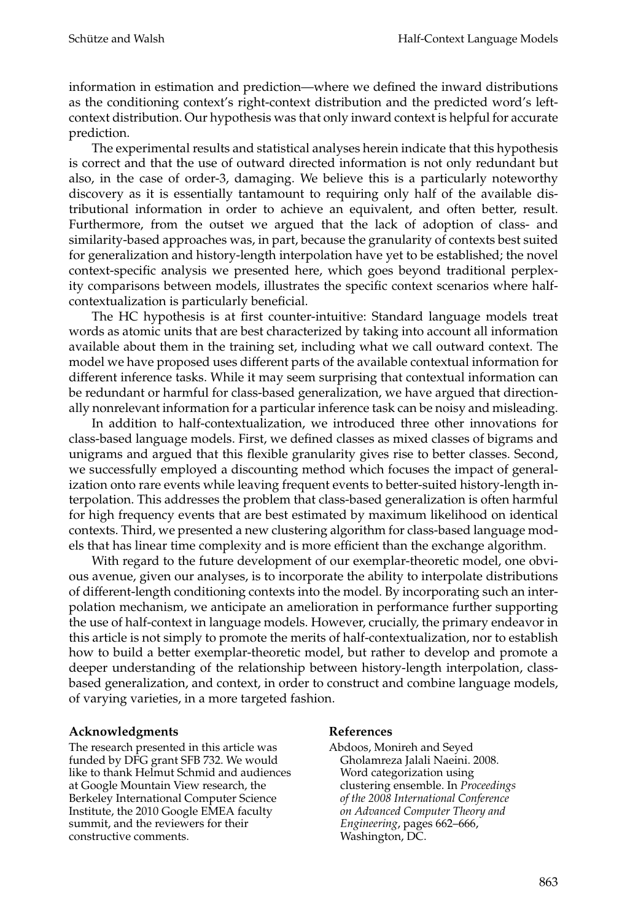information in estimation and prediction—where we defined the inward distributions as the conditioning context's right-context distribution and the predicted word's leftcontext distribution. Our hypothesis was that only inward context is helpful for accurate prediction.

The experimental results and statistical analyses herein indicate that this hypothesis is correct and that the use of outward directed information is not only redundant but also, in the case of order-3, damaging. We believe this is a particularly noteworthy discovery as it is essentially tantamount to requiring only half of the available distributional information in order to achieve an equivalent, and often better, result. Furthermore, from the outset we argued that the lack of adoption of class- and similarity-based approaches was, in part, because the granularity of contexts best suited for generalization and history-length interpolation have yet to be established; the novel context-specific analysis we presented here, which goes beyond traditional perplexity comparisons between models, illustrates the specific context scenarios where halfcontextualization is particularly beneficial.

The HC hypothesis is at first counter-intuitive: Standard language models treat words as atomic units that are best characterized by taking into account all information available about them in the training set, including what we call outward context. The model we have proposed uses different parts of the available contextual information for different inference tasks. While it may seem surprising that contextual information can be redundant or harmful for class-based generalization, we have argued that directionally nonrelevant information for a particular inference task can be noisy and misleading.

In addition to half-contextualization, we introduced three other innovations for class-based language models. First, we defined classes as mixed classes of bigrams and unigrams and argued that this flexible granularity gives rise to better classes. Second, we successfully employed a discounting method which focuses the impact of generalization onto rare events while leaving frequent events to better-suited history-length interpolation. This addresses the problem that class-based generalization is often harmful for high frequency events that are best estimated by maximum likelihood on identical contexts. Third, we presented a new clustering algorithm for class-based language models that has linear time complexity and is more efficient than the exchange algorithm.

With regard to the future development of our exemplar-theoretic model, one obvious avenue, given our analyses, is to incorporate the ability to interpolate distributions of different-length conditioning contexts into the model. By incorporating such an interpolation mechanism, we anticipate an amelioration in performance further supporting the use of half-context in language models. However, crucially, the primary endeavor in this article is not simply to promote the merits of half-contextualization, nor to establish how to build a better exemplar-theoretic model, but rather to develop and promote a deeper understanding of the relationship between history-length interpolation, classbased generalization, and context, in order to construct and combine language models, of varying varieties, in a more targeted fashion.

# **Acknowledgments**

The research presented in this article was funded by DFG grant SFB 732. We would like to thank Helmut Schmid and audiences at Google Mountain View research, the Berkeley International Computer Science Institute, the 2010 Google EMEA faculty summit, and the reviewers for their constructive comments.

#### **References**

Abdoos, Monireh and Seyed Gholamreza Jalali Naeini. 2008. Word categorization using clustering ensemble. In *Proceedings of the 2008 International Conference on Advanced Computer Theory and Engineering*, pages 662–666, Washington, DC.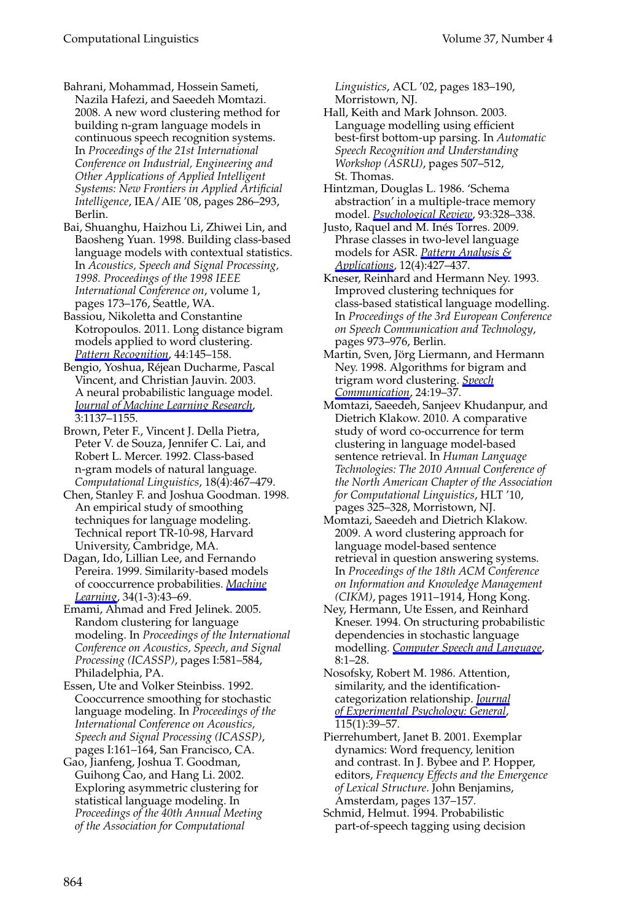#### Computational Linguistics Volume 37, Number 4

Bahrani, Mohammad, Hossein Sameti, Nazila Hafezi, and Saeedeh Momtazi. 2008. A new word clustering method for building n-gram language models in continuous speech recognition systems. In *Proceedings of the 21st International Conference on Industrial, Engineering and Other Applications of Applied Intelligent Systems: New Frontiers in Applied Artificial Intelligence*, IEA/AIE '08, pages 286–293, Berlin.

Bai, Shuanghu, Haizhou Li, Zhiwei Lin, and Baosheng Yuan. 1998. Building class-based language models with contextual statistics. In *Acoustics, Speech and Signal Processing, 1998. Proceedings of the 1998 IEEE International Conference on*, volume 1, pages 173–176, Seattle, WA.

Bassiou, Nikoletta and Constantine Kotropoulos. 2011. Long distance bigram models applied to word clustering. *Pattern Recognition*, 44:145–158.

Bengio, Yoshua, Rejean Ducharme, Pascal ´ Vincent, and Christian Jauvin. 2003. A neural probabilistic language model. *Journal of Machine Learning Research*, 3:1137–1155.

Brown, Peter F., Vincent J. Della Pietra, Peter V. de Souza, Jennifer C. Lai, and Robert L. Mercer. 1992. Class-based n-gram models of natural language. *Computational Linguistics*, 18(4):467–479.

Chen, Stanley F. and Joshua Goodman. 1998. An empirical study of smoothing techniques for language modeling. Technical report TR-10-98, Harvard University, Cambridge, MA.

Dagan, Ido, Lillian Lee, and Fernando Pereira. 1999. Similarity-based models of cooccurrence probabilities. *Machine Learning*, 34(1-3):43–69.

Emami, Ahmad and Fred Jelinek. 2005. Random clustering for language modeling. In *Proceedings of the International Conference on Acoustics, Speech, and Signal Processing (ICASSP)*, pages I:581–584, Philadelphia, PA.

Essen, Ute and Volker Steinbiss. 1992. Cooccurrence smoothing for stochastic language modeling. In *Proceedings of the International Conference on Acoustics, Speech and Signal Processing (ICASSP)*, pages I:161–164, San Francisco, CA.

Gao, Jianfeng, Joshua T. Goodman, Guihong Cao, and Hang Li. 2002. Exploring asymmetric clustering for statistical language modeling. In *Proceedings of the 40th Annual Meeting of the Association for Computational*

*Linguistics*, ACL '02, pages 183–190, Morristown, NJ.

Hall, Keith and Mark Johnson. 2003. Language modelling using efficient best-first bottom-up parsing. In *Automatic Speech Recognition and Understanding Workshop (ASRU)*, pages 507–512, St. Thomas.

Hintzman, Douglas L. 1986. 'Schema abstraction' in a multiple-trace memory model. *Psychological Review*, 93:328–338.

Justo, Raquel and M. Inés Torres. 2009. Phrase classes in two-level language models for ASR. *Pattern Analysis & Applications*, 12(4):427–437.

Kneser, Reinhard and Hermann Ney. 1993. Improved clustering techniques for class-based statistical language modelling. In *Proceedings of the 3rd European Conference on Speech Communication and Technology*, pages 973–976, Berlin.

Martin, Sven, Jörg Liermann, and Hermann Ney. 1998. Algorithms for bigram and trigram word clustering. *Speech Communication*, 24:19–37.

Momtazi, Saeedeh, Sanjeev Khudanpur, and Dietrich Klakow. 2010. A comparative study of word co-occurrence for term clustering in language model-based sentence retrieval. In *Human Language Technologies: The 2010 Annual Conference of the North American Chapter of the Association for Computational Linguistics*, HLT '10, pages 325–328, Morristown, NJ.

Momtazi, Saeedeh and Dietrich Klakow. 2009. A word clustering approach for language model-based sentence retrieval in question answering systems. In *Proceedings of the 18th ACM Conference on Information and Knowledge Management (CIKM)*, pages 1911–1914, Hong Kong.

Ney, Hermann, Ute Essen, and Reinhard Kneser. 1994. On structuring probabilistic dependencies in stochastic language modelling. *Computer Speech and Language*, 8:1–28.

Nosofsky, Robert M. 1986. Attention, similarity, and the identificationcategorization relationship. *Journal of Experimental Psychology: General*, 115(1):39–57.

Pierrehumbert, Janet B. 2001. Exemplar dynamics: Word frequency, lenition and contrast. In J. Bybee and P. Hopper, editors, *Frequency Effects and the Emergence of Lexical Structure*. John Benjamins, Amsterdam, pages 137–157.

Schmid, Helmut. 1994. Probabilistic part-of-speech tagging using decision